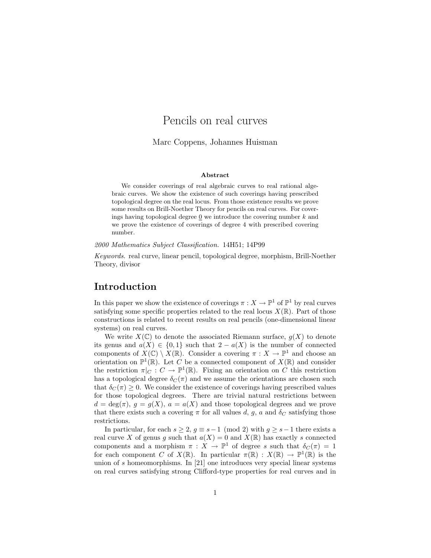# Pencils on real curves

Marc Coppens, Johannes Huisman

### Abstract

We consider coverings of real algebraic curves to real rational algebraic curves. We show the existence of such coverings having prescribed topological degree on the real locus. From those existence results we prove some results on Brill-Noether Theory for pencils on real curves. For coverings having topological degree  $\mathbf 0$  we introduce the covering number  $k$  and we prove the existence of coverings of degree 4 with prescribed covering number.

2000 Mathematics Subject Classification. 14H51; 14P99

Keywords. real curve, linear pencil, topological degree, morphism, Brill-Noether Theory, divisor

## Introduction

In this paper we show the existence of coverings  $\pi : X \to \mathbb{P}^1$  of  $\mathbb{P}^1$  by real curves satisfying some specific properties related to the real locus  $X(\mathbb{R})$ . Part of those constructions is related to recent results on real pencils (one-dimensional linear systems) on real curves.

We write  $X(\mathbb{C})$  to denote the associated Riemann surface,  $g(X)$  to denote its genus and  $a(X) \in \{0,1\}$  such that  $2 - a(X)$  is the number of connected components of  $X(\mathbb{C}) \setminus X(\mathbb{R})$ . Consider a covering  $\pi : X \to \mathbb{P}^1$  and choose an orientation on  $\mathbb{P}^1(\mathbb{R})$ . Let C be a connected component of  $X(\mathbb{R})$  and consider the restriction  $\pi|_C : C \to \mathbb{P}^1(\mathbb{R})$ . Fixing an orientation on C this restriction has a topological degree  $\delta_C(\pi)$  and we assume the orientations are chosen such that  $\delta_C(\pi) \geq 0$ . We consider the existence of coverings having prescribed values for those topological degrees. There are trivial natural restrictions between  $d = \deg(\pi)$ ,  $g = g(X)$ ,  $a = a(X)$  and those topological degrees and we prove that there exists such a covering  $\pi$  for all values d, g, a and  $\delta_C$  satisfying those restrictions.

In particular, for each  $s \geq 2$ ,  $g \equiv s-1 \pmod{2}$  with  $g \geq s-1$  there exists a real curve X of genus g such that  $a(X) = 0$  and  $X(\mathbb{R})$  has exactly s connected components and a morphism  $\pi : X \to \mathbb{P}^1$  of degree s such that  $\delta_C(\pi) = 1$ for each component C of  $X(\mathbb{R})$ . In particular  $\pi(\mathbb{R}) : X(\mathbb{R}) \to \mathbb{P}^1(\mathbb{R})$  is the union of s homeomorphisms. In [21] one introduces very special linear systems on real curves satisfying strong Clifford-type properties for real curves and in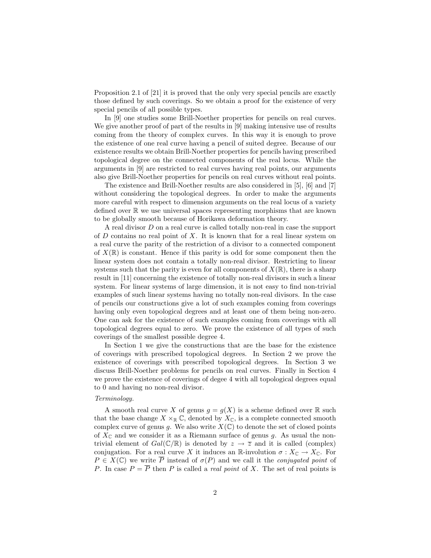Proposition 2.1 of [21] it is proved that the only very special pencils are exactly those defined by such coverings. So we obtain a proof for the existence of very special pencils of all possible types.

In [9] one studies some Brill-Noether properties for pencils on real curves. We give another proof of part of the results in [9] making intensive use of results coming from the theory of complex curves. In this way it is enough to prove the existence of one real curve having a pencil of suited degree. Because of our existence results we obtain Brill-Noether properties for pencils having prescribed topological degree on the connected components of the real locus. While the arguments in [9] are restricted to real curves having real points, our arguments also give Brill-Noether properties for pencils on real curves without real points.

The existence and Brill-Noether results are also considered in [5], [6] and [7] without considering the topological degrees. In order to make the arguments more careful with respect to dimension arguments on the real locus of a variety defined over R we use universal spaces representing morphisms that are known to be globally smooth because of Horikawa deformation theory.

A real divisor D on a real curve is called totally non-real in case the support of  $D$  contains no real point of  $X$ . It is known that for a real linear system on a real curve the parity of the restriction of a divisor to a connected component of  $X(\mathbb{R})$  is constant. Hence if this parity is odd for some component then the linear system does not contain a totally non-real divisor. Restricting to linear systems such that the parity is even for all components of  $X(\mathbb{R})$ , there is a sharp result in [11] concerning the existence of totally non-real divisors in such a linear system. For linear systems of large dimension, it is not easy to find non-trivial examples of such linear systems having no totally non-real divisors. In the case of pencils our constructions give a lot of such examples coming from coverings having only even topological degrees and at least one of them being non-zero. One can ask for the existence of such examples coming from coverings with all topological degrees equal to zero. We prove the existence of all types of such coverings of the smallest possible degree 4.

In Section 1 we give the constructions that are the base for the existence of coverings with prescribed topological degrees. In Section 2 we prove the existence of coverings with prescribed topological degrees. In Section 3 we discuss Brill-Noether problems for pencils on real curves. Finally in Section 4 we prove the existence of coverings of degee 4 with all topological degrees equal to 0 and having no non-real divisor.

#### Terminology.

A smooth real curve X of genus  $g = g(X)$  is a scheme defined over R such that the base change  $X \times_{\mathbb{R}} \mathbb{C}$ , denoted by  $X_{\mathbb{C}}$ , is a complete connected smooth complex curve of genus g. We also write  $X(\mathbb{C})$  to denote the set of closed points of  $X_{\mathbb{C}}$  and we consider it as a Riemann surface of genus g. As usual the nontrivial element of  $Gal(\mathbb{C}/\mathbb{R})$  is denoted by  $z \to \overline{z}$  and it is called (complex) conjugation. For a real curve X it induces an R-involution  $\sigma: X_{\mathbb{C}} \to X_{\mathbb{C}}$ . For  $P \in X(\mathbb{C})$  we write  $\overline{P}$  instead of  $\sigma(P)$  and we call it the *conjugated point* of P. In case  $P = \overline{P}$  then P is called a *real point* of X. The set of real points is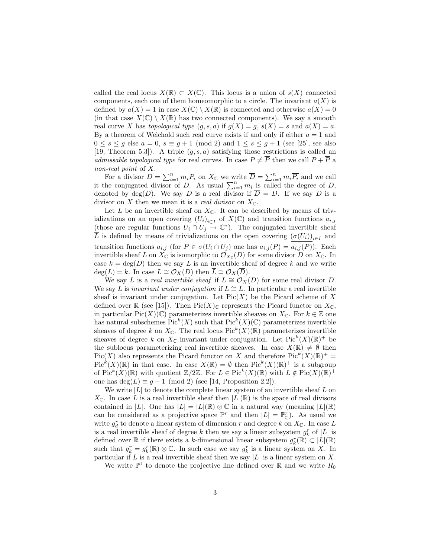called the real locus  $X(\mathbb{R}) \subset X(\mathbb{C})$ . This locus is a union of  $s(X)$  connected components, each one of them homeomorphic to a circle. The invariant  $a(X)$  is defined by  $a(X) = 1$  in case  $X(\mathbb{C}) \setminus X(\mathbb{R})$  is connected and otherwise  $a(X) = 0$ (in that case  $X(\mathbb{C}) \setminus X(\mathbb{R})$  has two connected components). We say a smooth real curve X has topological type  $(g, s, a)$  if  $g(X) = g$ ,  $s(X) = s$  and  $a(X) = a$ . By a theorem of Weichold such real curve exists if and only if either  $a = 1$  and  $0 \leq s \leq g$  else  $a = 0$ ,  $s \equiv g + 1 \pmod{2}$  and  $1 \leq s \leq g + 1$  (see [25], see also [19, Theorem 5.3]). A triple  $(g, s, a)$  satisfying those restrictions is called an admissable topological type for real curves. In case  $P \neq \overline{P}$  then we call  $P + \overline{P}$  a non-real point of X.

For a divisor  $D = \sum_{i=1}^n m_i P_i$  on  $X_{\mathbb{C}}$  we write  $\overline{D} = \sum_{i=1}^n m_i \overline{P_i}$  and we call it the conjugated divisor of D. As usual  $\sum_{i=1}^{n} m_i$  is called the degree of D, denoted by  $deg(D)$ . We say D is a real divisor if  $\overline{D} = D$ . If we say D is a divisor on X then we mean it is a *real divisor* on  $X_{\mathbb{C}}$ .

Let L be an invertible sheaf on  $X_{\mathbb{C}}$ . It can be described by means of trivializations on an open covering  $(U_i)_{i\in I}$  of  $X(\mathbb{C})$  and transition functions  $a_{i,j}$ (those are regular functions  $U_i \cap U_j \to \mathbb{C}^*$ ). The conjugated invertible sheaf L is defined by means of trivializations on the open covering  $(\sigma(U_i))_{i\in I}$  and transition functions  $\overline{a_{i,j}}$  (for  $P \in \sigma(U_i \cap U_j)$  one has  $\overline{a_{i,j}}(P) = a_{i,j}(\overline{P})$ ). Each invertible sheaf L on  $X_{\mathbb{C}}$  is isomorphic to  $\mathcal{O}_{X_{\mathbb{C}}}(D)$  for some divisor D on  $X_{\mathbb{C}}$ . In case  $k = \deg(D)$  then we say L is an invertible sheaf of degree k and we write  $deg(L) = k$ . In case  $L \cong \mathcal{O}_X(D)$  then  $\overline{L} \cong \mathcal{O}_X(\overline{D})$ .

We say L is a real invertible sheaf if  $L \cong \mathcal{O}_X(D)$  for some real divisor D. We say L is invariant under conjugation if  $L \cong \overline{L}$ . In particular a real invertible sheaf is invariant under conjugation. Let  $Pic(X)$  be the Picard scheme of X defined over  $\mathbb R$  (see [15]). Then  $Pic(X)_{\mathbb C}$  represents the Picard functor on  $X_{\mathbb C}$ , in particular Pic(X)( $\mathbb{C}$ ) parameterizes invertible sheaves on  $X_{\mathbb{C}}$ . For  $k \in \mathbb{Z}$  one has natural subschemes  $Pic^k(X)$  such that  $Pic^k(X)(\mathbb{C})$  parameterizes invertible sheaves of degree k on  $X_{\mathbb{C}}$ . The real locus Pic<sup>k</sup> $(X)(\mathbb{R})$  parameterizes invertible sheaves of degree k on  $X_{\mathbb{C}}$  invariant under conjugation. Let  $Pic<sup>k</sup>(X)(\mathbb{R})^+$  be the sublocus parameterizing real invertible sheaves. In case  $X(\mathbb{R}) \neq \emptyset$  then  $Pic(X)$  also represents the Picard functor on X and therefore  $Pic^{k}(X)(\mathbb{R})^{+} =$  $Pic^{k}(X)(\mathbb{R})$  in that case. In case  $X(\mathbb{R}) = \emptyset$  then  $Pic^{k}(X)(\mathbb{R})^{+}$  is a subgroup of  $\text{Pic}^k(X)(\mathbb{R})$  with quotient  $\mathbb{Z}/2\mathbb{Z}$ . For  $L \in \text{Pic}^k(X)(\mathbb{R})$  with  $L \notin \text{Pic}(X)(\mathbb{R})^+$ one has  $deg(L) \equiv g - 1 \pmod{2}$  (see [14, Proposition 2.2]).

We write  $|L|$  to denote the complete linear system of an invertible sheaf L on  $X_{\mathbb{C}}$ . In case L is a real invertible sheaf then  $|L|(\mathbb{R})$  is the space of real divisors contained in |L|. One has  $|L| = |L|(\mathbb{R}) \otimes \mathbb{C}$  in a natural way (meaning  $|L|(\mathbb{R})$ can be considered as a projective space  $\mathbb{P}^r$  and then  $|L| = \mathbb{P}^r_{\mathbb{C}}$ ). As usual we write  $g_d^r$  to denote a linear system of dimension  $r$  and degree  $k$  on  $X_{\mathbb{C}}$ . In case  $L$ is a real invertible sheaf of degree k then we say a linear subsystem  $g_k^r$  of  $|L|$  is defined over R if there exists a k-dimensional linear subsystem  $g_k^r(\mathbb{R}) \subset |L|(\mathbb{R})$ such that  $g_k^r = g_k^r(\mathbb{R}) \otimes \mathbb{C}$ . In such case we say  $g_k^r$  is a linear system on X. In particular if  $L$  is a real invertible sheaf then we say  $|L|$  is a linear system on  $X$ .

We write  $\mathbb{P}^1$  to denote the projective line defined over  $\mathbb R$  and we write  $R_0$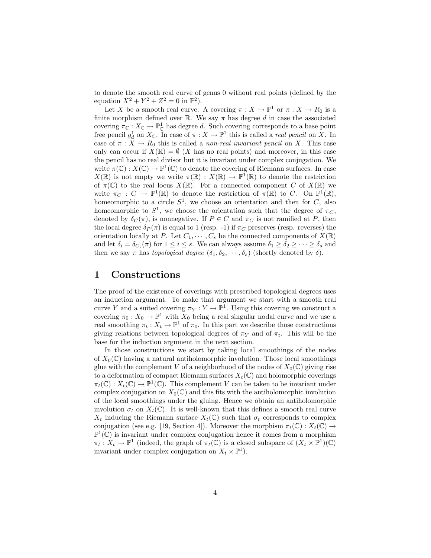to denote the smooth real curve of genus 0 without real points (defined by the equation  $X^2 + Y^2 + Z^2 = 0$  in  $\mathbb{P}^2$ .

Let X be a smooth real curve. A covering  $\pi : X \to \mathbb{P}^1$  or  $\pi : X \to R_0$  is a finite morphism defined over R. We say  $\pi$  has degree d in case the associated covering  $\pi_{\mathbb{C}} : X_{\mathbb{C}} \to \mathbb{P}^1_{\mathbb{C}}$  has degree d. Such covering corresponds to a base point free pencil  $g_d^1$  on  $X_{\mathbb{C}}$ . In case of  $\pi : X \to \mathbb{P}^1$  this is called a *real pencil* on X. In case of  $\pi : X \to R_0$  this is called a non-real invariant pencil on X. This case only can occur if  $X(\mathbb{R}) = \emptyset$  (X has no real points) and moreover, in this case the pencil has no real divisor but it is invariant under complex conjugation. We write  $\pi(\mathbb{C}): X(\mathbb{C}) \to \mathbb{P}^1(\mathbb{C})$  to denote the covering of Riemann surfaces. In case  $X(\mathbb{R})$  is not empty we write  $\pi(\mathbb{R}) : X(\mathbb{R}) \to \mathbb{P}^1(\mathbb{R})$  to denote the restriction of  $\pi(\mathbb{C})$  to the real locus  $X(\mathbb{R})$ . For a connected component C of  $X(\mathbb{R})$  we write  $\pi_C : C \to \mathbb{P}^1(\mathbb{R})$  to denote the restriction of  $\pi(\mathbb{R})$  to C. On  $\mathbb{P}^1(\mathbb{R})$ , homeomorphic to a circle  $S^1$ , we choose an orientation and then for C, also homeomorphic to  $S^1$ , we choose the orientation such that the degree of  $\pi_C$ , denoted by  $\delta_C(\pi)$ , is nonnegative. If  $P \in C$  and  $\pi_C$  is not ramified at P, then the local degree  $\delta_P(\pi)$  is equal to 1 (resp. -1) if  $\pi_C$  preserves (resp. reverses) the orientation locally at P. Let  $C_1, \dots, C_s$  be the connected components of  $X(\mathbb{R})$ and let  $\delta_i = \delta_{C_i}(\pi)$  for  $1 \leq i \leq s$ . We can always assume  $\delta_1 \geq \delta_2 \geq \cdots \geq \delta_s$  and then we say  $\pi$  has topological degree  $(\delta_1, \delta_2, \dots, \delta_s)$  (shortly denoted by  $\underline{\delta}$ ).

## 1 Constructions

The proof of the existence of coverings with prescribed topological degrees uses an induction argument. To make that argument we start with a smooth real curve Y and a suited covering  $\pi_Y : Y \to \mathbb{P}^1$ . Using this covering we construct a covering  $\pi_0 : X_0 \to \mathbb{P}^1$  with  $X_0$  being a real singular nodal curve and we use a real smoothing  $\pi_t : X_t \to \mathbb{P}^1$  of  $\pi_0$ . In this part we describe those constructions giving relations between topological degrees of  $\pi_Y$  and of  $\pi_t$ . This will be the base for the induction argument in the next section.

In those constructions we start by taking local smoothings of the nodes of  $X_0(\mathbb{C})$  having a natural antiholomorphic involution. Those local smoothings glue with the complement V of a neighborhood of the nodes of  $X_0(\mathbb{C})$  giving rise to a deformation of compact Riemann surfaces  $X_t(\mathbb{C})$  and holomorphic coverings  $\pi_t(\mathbb{C}): X_t(\mathbb{C}) \to \mathbb{P}^1(\mathbb{C})$ . This complement V can be taken to be invariant under complex conjugation on  $X_0(\mathbb{C})$  and this fits with the antiholomorphic involution of the local smoothings under the gluing. Hence we obtain an antiholomorphic involution  $\sigma_t$  on  $X_t(\mathbb{C})$ . It is well-known that this defines a smooth real curve  $X_t$  inducing the Riemann surface  $X_t(\mathbb{C})$  such that  $\sigma_t$  corresponds to complex conjugation (see e.g. [19, Section 4]). Moreover the morphism  $\pi_t(\mathbb{C}) : X_t(\mathbb{C}) \to$  $\mathbb{P}^1(\mathbb{C})$  is invariant under complex conjugation hence it comes from a morphism  $\pi_t: X_t \to \mathbb{P}^1$  (indeed, the graph of  $\pi_t(\mathbb{C})$  is a closed subspace of  $(X_t \times \mathbb{P}^1)(\mathbb{C})$ invariant under complex conjugation on  $X_t \times \mathbb{P}^1$ .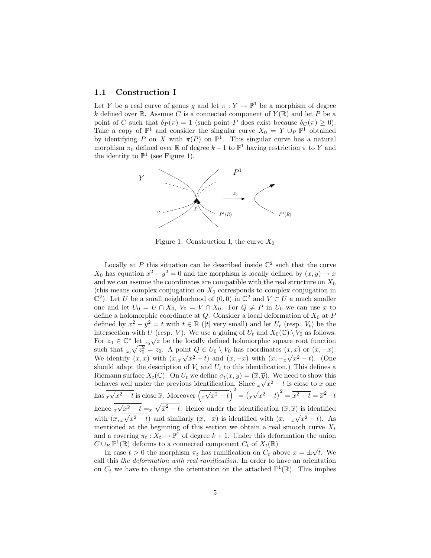### 1.1 Construction I

Let Y be a real curve of genus g and let  $\pi: Y \to \mathbb{P}^1$  be a morphism of degree k defined over  $\mathbb R$ . Assume C is a connected component of  $Y(\mathbb R)$  and let P be a point of C such that  $\delta_P(\pi) = 1$  (such point P does exist because  $\delta_C(\pi) \geq 0$ ). Take a copy of  $\mathbb{P}^1$  and consider the singular curve  $X_0 = Y \cup_P \mathbb{P}^1$  obtained by identifying P on X with  $\pi(P)$  on  $\mathbb{P}^1$ . This singular curve has a natural morphism  $\pi_0$  defined over  $\mathbb R$  of degree  $k+1$  to  $\mathbb P^1$  having restriction  $\pi$  to Y and the identity to  $\mathbb{P}^1$  (see Figure 1).



Figure 1: Construction I, the curve  $X_0$ 

Locally at P this situation can be described inside  $\mathbb{C}^2$  such that the curve  $X_0$  has equation  $x^2 - y^2 = 0$  and the morphism is locally defined by  $(x, y) \to x$ and we can assume the coordinates are compatible with the real structure on  $X_0$ (this means complex conjugation on  $X_0$  corresponds to complex conjugation in  $\mathbb{C}^2$ ). Let U be a small neighborhood of  $(0,0)$  in  $\mathbb{C}^2$  and  $V \subset U$  a much smaller one and let  $U_0 = U \cap X_0$ ,  $V_0 = V \cap X_0$ . For  $Q \neq P$  in  $U_0$  we can use x to define a holomorphic coordinate at  $Q$ . Consider a local deformation of  $X_0$  at P defined by  $x^2 - y^2 = t$  with  $t \in \mathbb{R}$  (|t| very small) and let  $U_t$  (resp.  $V_t$ ) be the intersection with U (resp. V). We use a gluing of  $U_t$  and  $X_0(\mathbb{C}) \setminus V_0$  as follows. For  $z_0 \in \mathbb{C}^*$  let  $z_0\sqrt{z}$  be the locally defined holomorphic square root function such that  $z_0\sqrt{z_0^2} = z_0$ . A point  $Q \in U_0 \setminus V_0$  has coordinates  $(x, x)$  or  $(x, -x)$ . We identify  $(x, x)$  with  $(x, x\sqrt{x^2 - t})$  and  $(x, -x)$  with  $(x, -x\sqrt{x^2 - t})$ . (One should adapt the description of  $V_t$  and  $U_t$  to this identification.) This defines a Riemann surface  $X_t(\mathbb{C})$ . On  $U_t$  we define  $\sigma_t(x, y) = (\overline{x}, \overline{y})$ . We need to show this behaves well under the previous identification. Since  $\sqrt{x^2 - t}$  is close to x one has  $\sqrt{x^2-t}$  is close  $\overline{x}$ . Moreover  $(\sqrt{x^2-t})^2 = (\sqrt{x^2-t})^2 = \overline{x^2-t} = \overline{x^2-t}$ hence  $\sqrt{x^2-t} = \sqrt{x^2-t}$ . Hence under the identification  $(\overline{x}, \overline{x})$  is identified with  $(\overline{x}, \overline{x\sqrt{x^2 - t}})$  and similarly  $(\overline{x}, -\overline{x})$  is identified with  $(\overline{x}, -\overline{x\sqrt{x^2 - t}})$ . As mentioned at the beginning of this section we obtain a real smooth curve  $X_t$ and a covering  $\pi_t : X_t \to \mathbb{P}^1$  of degree  $k + 1$ . Under this deformation the union  $C \cup_P \mathbb{P}^1(\mathbb{R})$  deforms to a connected component  $C_t$  of  $X_t(\mathbb{R})$ 

In case  $t > 0$  the morphism  $\pi_t$  has ramification on  $C_t$  above  $x = \pm \sqrt{t}$ . We call this the deformation with real ramification. In order to have an orientation on  $C_t$  we have to change the orientation on the attached  $\mathbb{P}^1(\mathbb{R})$ . This implies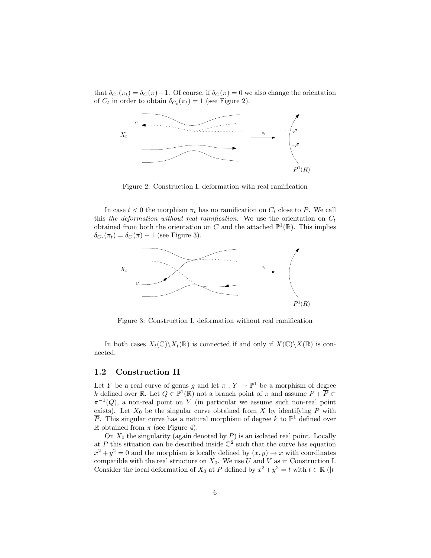that  $\delta_{C_t}(\pi_t) = \delta_C(\pi) - 1$ . Of course, if  $\delta_C(\pi) = 0$  we also change the orientation of  $C_t$  in order to obtain  $\delta_{C_t}(\pi_t) = 1$  (see Figure 2).



Figure 2: Construction I, deformation with real ramification

In case  $t < 0$  the morphism  $\pi_t$  has no ramification on  $C_t$  close to P. We call this the deformation without real ramification. We use the orientation on  $C_t$ obtained from both the orientation on C and the attached  $\mathbb{P}^1(\mathbb{R})$ . This implies  $\delta_{C_t}(\pi_t) = \delta_C(\pi) + 1$  (see Figure 3).



Figure 3: Construction I, deformation without real ramification

In both cases  $X_t(\mathbb{C})\backslash X_t(\mathbb{R})$  is connected if and only if  $X(\mathbb{C})\backslash X(\mathbb{R})$  is connected.

### 1.2 Construction II

Let Y be a real curve of genus g and let  $\pi : Y \to \mathbb{P}^1$  be a morphism of degree k defined over R. Let  $Q \in \mathbb{P}^1(\mathbb{R})$  not a branch point of  $\pi$  and assume  $P + \overline{P} \subset$  $\pi^{-1}(Q)$ , a non-real point on Y (in particular we assume such non-real point exists). Let  $X_0$  be the singular curve obtained from X by identifying P with  $\overline{P}$ . This singular curve has a natural morphism of degree k to  $\mathbb{P}^1$  defined over R obtained from  $\pi$  (see Figure 4).

On  $X_0$  the singularity (again denoted by  $P$ ) is an isolated real point. Locally at P this situation can be described inside  $\mathbb{C}^2$  such that the curve has equation  $x^2 + y^2 = 0$  and the morphism is locally defined by  $(x, y) \rightarrow x$  with coordinates compatible with the real structure on  $X_0$ . We use U and V as in Construction I. Consider the local deformation of  $X_0$  at P defined by  $x^2 + y^2 = t$  with  $t \in \mathbb{R}$  (|t|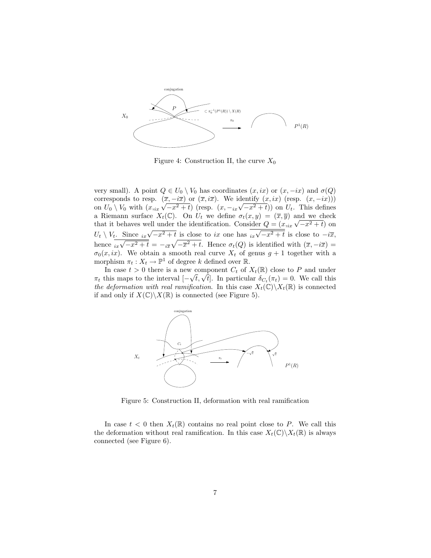

Figure 4: Construction II, the curve  $X_0$ 

very small). A point  $Q \in U_0 \setminus V_0$  has coordinates  $(x, ix)$  or  $(x, -ix)$  and  $\sigma(Q)$ corresponds to resp.  $(\overline{x}, -i\overline{x})$  or  $(\overline{x}, i\overline{x})$ . We identify  $(x, ix)$  (resp.  $(x, -ix)$ )) on  $U_0 \setminus V_0$  with  $(x_{\text{max}} \sqrt{-x^2 + t})$  (resp.  $(x, -\frac{1}{ix} \sqrt{-x^2 + t})$ ) on  $U_t$ . This defines a Riemann surface  $X_t(\mathbb{C})$ . On  $U_t$  we define  $\sigma_t(x,y) = (\overline{x}, \overline{y})$  and we check that it behaves well under the identification. Consider  $Q = (x_{iix}\sqrt{-x^2 + t})$  on  $U_t \setminus V_t$ . Since  $\frac{1}{ix}\sqrt{-x^2+t}$  is close to ix one has  $\frac{1}{ix}\sqrt{-x^2+t}$  is close to  $-i\overline{x}$ , hence  $\overline{i_x\sqrt{-x^2+t}} = -\overline{i_x}\sqrt{-x^2+t}$ . Hence  $\sigma_t(Q)$  is identified with  $(\overline{x}, -i\overline{x}) =$  $\sigma_0(x, ix)$ . We obtain a smooth real curve  $X_t$  of genus  $g + 1$  together with a morphism  $\pi_t : X_t \to \mathbb{P}^1$  of degree k defined over  $\mathbb{R}$ .

In case  $t > 0$  there is a new component  $C_t$  of  $X_t(\mathbb{R})$  close to P and under πt due v > 0 there is a non-component  $\varepsilon_t$  or  $\Omega_t(\pi_t)$  sides to 1 and and the  $\pi_t$  this maps to the interval  $[-\sqrt{t}, \sqrt{t}]$ . In particular  $\delta_{C_t}(\pi_t) = 0$ . We call this the deformation with real ramification. In this case  $X_t(\mathbb{C})\backslash X_t(\mathbb{R})$  is connected if and only if  $X(\mathbb{C})\backslash X(\mathbb{R})$  is connected (see Figure 5).



Figure 5: Construction II, deformation with real ramification

In case  $t < 0$  then  $X_t(\mathbb{R})$  contains no real point close to P. We call this the deformation without real ramification. In this case  $X_t(\mathbb{C})\backslash X_t(\mathbb{R})$  is always connected (see Figure 6).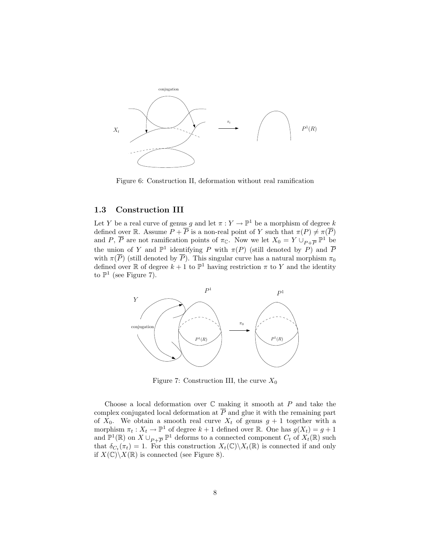

Figure 6: Construction II, deformation without real ramification

## 1.3 Construction III

Let Y be a real curve of genus g and let  $\pi: Y \to \mathbb{P}^1$  be a morphism of degree k defined over R. Assume  $P + \overline{P}$  is a non-real point of Y such that  $\pi(P) \neq \pi(\overline{P})$ and P,  $\overline{P}$  are not ramification points of  $\pi_{\mathbb{C}}$ . Now we let  $X_0 = Y \cup_{P + \overline{P}} \mathbb{P}^1$  be the union of Y and  $\mathbb{P}^1$  identifying P with  $\pi(P)$  (still denoted by P) and  $\overline{P}$ with  $\pi(\overline{P})$  (still denoted by  $\overline{P}$ ). This singular curve has a natural morphism  $\pi_0$ defined over  $\mathbb R$  of degree  $k+1$  to  $\mathbb P^1$  having restriction  $\pi$  to Y and the identity to  $\mathbb{P}^1$  (see Figure 7).



Figure 7: Construction III, the curve  $X_0$ 

Choose a local deformation over  $\mathbb C$  making it smooth at  $P$  and take the complex conjugated local deformation at  $\overline{P}$  and glue it with the remaining part of  $X_0$ . We obtain a smooth real curve  $X_t$  of genus  $g + 1$  together with a morphism  $\pi_t : X_t \to \mathbb{P}^1$  of degree  $k+1$  defined over  $\mathbb{R}$ . One has  $g(X_t) = g + 1$ and  $\mathbb{P}^1(\mathbb{R})$  on  $X \cup_{P+\overline{P}} \mathbb{P}^1$  deforms to a connected component  $C_t$  of  $X_t(\mathbb{R})$  such that  $\delta_{C_t}(\pi_t) = 1$ . For this construction  $X_t(\mathbb{C}) \backslash X_t(\mathbb{R})$  is connected if and only if  $X(\mathbb{C})\backslash X(\mathbb{R})$  is connected (see Figure 8).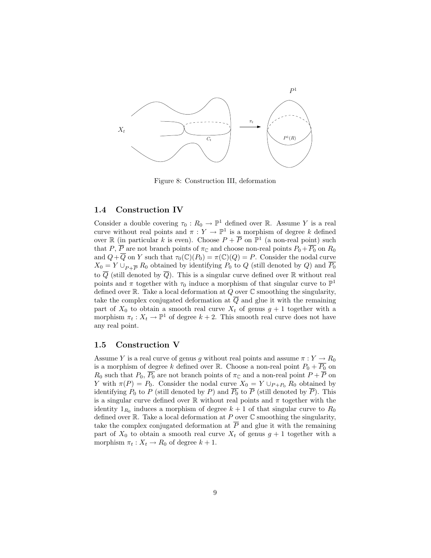

Figure 8: Construction III, deformation

### 1.4 Construction IV

Consider a double covering  $\tau_0 : R_0 \to \mathbb{P}^1$  defined over R. Assume Y is a real curve without real points and  $\pi: Y \to \mathbb{P}^1$  is a morphism of degree k defined over  $\mathbb R$  (in particular k is even). Choose  $P + \overline{P}$  on  $\mathbb P^1$  (a non-real point) such that P,  $\overline{P}$  are not branch points of  $\pi_{\mathbb{C}}$  and choose non-real points  $P_0 + \overline{P_0}$  on  $R_0$ and  $Q + \overline{Q}$  on Y such that  $\tau_0(\mathbb{C})(P_0) = \pi(\mathbb{C})(Q) = P$ . Consider the nodal curve  $X_0 = Y \cup_{P + \overline{P}} R_0$  obtained by identifying  $P_0$  to Q (still denoted by Q) and  $\overline{P_0}$ to  $\overline{Q}$  (still denoted by  $\overline{Q}$ ). This is a singular curve defined over R without real points and  $\pi$  together with  $\tau_0$  induce a morphism of that singular curve to  $\mathbb{P}^1$ defined over  $\mathbb R$ . Take a local deformation at  $Q$  over  $\mathbb C$  smoothing the singularity, take the complex conjugated deformation at  $\overline{Q}$  and glue it with the remaining part of  $X_0$  to obtain a smooth real curve  $X_t$  of genus  $g + 1$  together with a morphism  $\pi_t : X_t \to \mathbb{P}^1$  of degree  $k + 2$ . This smooth real curve does not have any real point.

## 1.5 Construction V

Assume Y is a real curve of genus g without real points and assume  $\pi: Y \to R_0$ is a morphism of degree k defined over R. Choose a non-real point  $P_0 + \overline{P_0}$  on  $R_0$  such that  $P_0$ ,  $\overline{P_0}$  are not branch points of  $\pi_{\mathbb{C}}$  and a non-real point  $P + \overline{P}$  on Y with  $\pi(P) = P_0$ . Consider the nodal curve  $X_0 = Y \cup_{P+P_0} R_0$  obtained by identifying  $P_0$  to P (still denoted by P) and  $\overline{P_0}$  to  $\overline{P}$  (still denoted by  $\overline{P}$ ). This is a singular curve defined over  $\mathbb R$  without real points and  $\pi$  together with the identity  $1_{R_0}$  induces a morphism of degree  $k + 1$  of that singular curve to  $R_0$ defined over  $\mathbb R$ . Take a local deformation at P over  $\mathbb C$  smoothing the singularity, take the complex conjugated deformation at  $\overline{P}$  and glue it with the remaining part of  $X_0$  to obtain a smooth real curve  $X_t$  of genus  $g + 1$  together with a morphism  $\pi_t : X_t \to R_0$  of degree  $k + 1$ .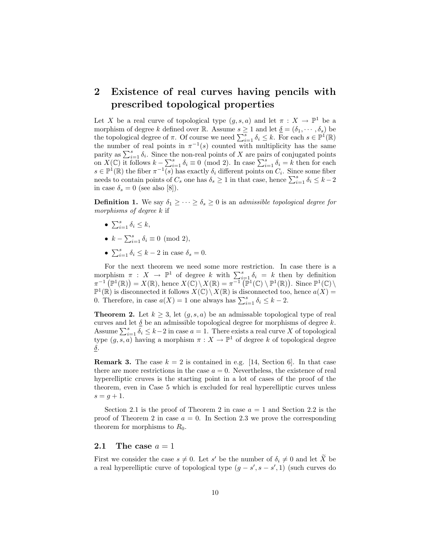## 2 Existence of real curves having pencils with prescribed topological properties

Let X be a real curve of topological type  $(g, s, a)$  and let  $\pi : X \to \mathbb{P}^1$  be a morphism of degree k defined over R. Assume  $s \geq 1$  and let  $\underline{\delta} = (\delta_1, \cdots, \delta_s)$  be the topological degree of  $\pi$ . Of course we need  $\sum_{i=1}^{s} \delta_i \leq k$ . For each  $s \in \mathbb{P}^1(\mathbb{R})$ the number of real points in  $\pi^{-1}(s)$  counted with multiplicity has the same parity as  $\sum_{i=1}^{s} \delta_i$ . Since the non-real points of X are pairs of conjugated points on  $X(\mathbb{C})$  it follows  $k - \sum_{i=1}^{s} \delta_i \equiv 0 \pmod{2}$ . In case  $\sum_{i=1}^{s} \delta_i = k$  then for each  $s \in \mathbb{P}^1(\mathbb{R})$  the fiber  $\pi^{-1}(s)$  has exactly  $\delta_i$  different points on  $C_i$ . Since some fiber needs to contain points of  $C_s$  one has  $\delta_s \geq 1$  in that case, hence  $\sum_{i=1}^s \delta_i \leq k-2$ in case  $\delta_s = 0$  (see also [8]).

**Definition 1.** We say  $\delta_1 \geq \cdots \geq \delta_s \geq 0$  is an *admissible topological degree for* morphisms of degree k if

- $\sum_{i=1}^s \delta_i \leq k$ ,
- $k \sum_{i=1}^{s} \delta_i \equiv 0 \pmod{2}$ ,
- $\sum_{i=1}^{s} \delta_i \leq k-2$  in case  $\delta_s = 0$ .

For the next theorem we need some more restriction. In case there is a morphism  $\pi : X \to \mathbb{P}^1$  of degree k with  $\sum_{i=1}^s \delta_i = k$  then by definition  $\pi^{-1}(\mathbb{P}^1(\mathbb{R})) = X(\mathbb{R}), \text{ hence } X(\mathbb{C}) \setminus X(\mathbb{R}) = \pi^{-1}(\mathbb{P}^1(\mathbb{C}) \setminus \mathbb{P}^1(\mathbb{R})). \text{ Since } \mathbb{P}^1(\mathbb{C}) \setminus$  $\mathbb{P}^1(\mathbb{R})$  is disconnected it follows  $X(\mathbb{C}) \setminus X(\mathbb{R})$  is disconnected too, hence  $a(X) =$ 0. Therefore, in case  $a(X) = 1$  one always has  $\sum_{i=1}^{s} \delta_i \leq k - 2$ .

**Theorem 2.** Let  $k \geq 3$ , let  $(g, s, a)$  be an admissable topological type of real curves and let  $\delta$  be an admissible topological degree for morphisms of degree k. Assume  $\sum_{i=1}^{s} \delta_i \leq k-2$  in case  $a=1$ . There exists a real curve X of topological type  $(g, s, a)$  having a morphism  $\pi : X \to \mathbb{P}^1$  of degree k of topological degree  $\underline{\delta}$ .

**Remark 3.** The case  $k = 2$  is contained in e.g. [14, Section 6]. In that case there are more restrictions in the case  $a = 0$ . Nevertheless, the existence of real hyperelliptic cruves is the starting point in a lot of cases of the proof of the theorem, even in Case 5 which is excluded for real hyperelliptic curves unless  $s = q + 1.$ 

Section 2.1 is the proof of Theorem 2 in case  $a = 1$  and Section 2.2 is the proof of Theorem 2 in case  $a = 0$ . In Section 2.3 we prove the corresponding theorem for morphisms to  $R_0$ .

#### 2.1 The case  $a = 1$

First we consider the case  $s \neq 0$ . Let s' be the number of  $\delta_i \neq 0$  and let X be a real hyperelliptic curve of topological type  $(g - s', s - s', 1)$  (such curves do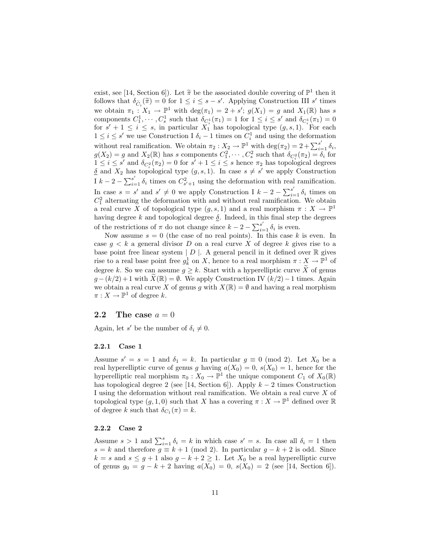exist, see [14, Section 6]). Let  $\tilde{\pi}$  be the associated double covering of  $\mathbb{P}^1$  then it follows that  $\delta_{\infty}(\tilde{\pi}) = 0$  for  $1 \le i \le e$ , of Applying Construction III of times follows that  $\delta_{\widetilde{C}_i}(\widetilde{\pi}) = 0$  for  $1 \leq i \leq s - s'$ . Applying Construction III s' times we obtain  $\pi_1: X_1 \to \mathbb{P}^1$  with  $\deg(\pi_1) = 2 + s'$ ;  $g(X_1) = g$  and  $X_1(\mathbb{R})$  has s components  $C_1^1, \dots, C_s^1$  such that  $\delta_{C_i^1}(\pi_1) = 1$  for  $1 \leq i \leq s'$  and  $\delta_{C_i^1}(\pi_1) = 0$ for  $s' + 1 \leq i \leq s$ , in particular  $X_1^{i_1}$  has topological type  $(g, s, 1)$ . For each  $1 \leq i \leq s'$  we use Construction I  $\delta_i$  − 1 times on  $C_i^1$  and using the deformation without real ramification. We obtain  $\pi_2 : X_2 \to \mathbb{P}^1$  with  $\deg(\pi_2) = 2 + \sum_{i=1}^{s'} \delta_i$ ,  $g(X_2) = g$  and  $X_2(\mathbb{R})$  has s components  $C_1^2, \cdots, C_s^2$  such that  $\delta_{C_i^2}(\pi_2) = \delta_i$  for  $1 \leq i \leq s'$  and  $\delta_{C_i^2}(\pi_2) = 0$  for  $s' + 1 \leq i \leq s$  hence  $\pi_2$  has topological degrees  $\delta$  and  $X_2$  has topological type  $(g, s, 1)$ . In case  $s \neq s'$  we apply Construction I  $k - 2 - \sum_{i=1}^{s'} \delta_i$  times on  $C_{s'+1}^2$  using the deformation with real ramification. In case  $s = s'$  and  $s' \neq 0$  we apply Construction I  $k - 2 - \sum_{i=1}^{s'} \delta_i$  times on  $C_1^2$  alternating the deformation with and without real ramification. We obtain a real curve X of topological type  $(g, s, 1)$  and a real morphism  $\pi : X \to \mathbb{P}^1$ having degree k and topological degree  $\delta$ . Indeed, in this final step the degrees of the restrictions of  $\pi$  do not change since  $k - 2 - \sum_{i=1}^{s'} \delta_i$  is even.

Now assume  $s = 0$  (the case of no real points). In this case k is even. In case  $g < k$  a general divisor D on a real curve X of degree k gives rise to a base point free linear system  $|D|$ . A general pencil in it defined over  $\mathbb R$  gives rise to a real base point free  $g_k^1$  on X, hence to a real morphism  $\pi: \underset{\sim}{X} \to \mathbb{P}^1$  of degree k. So we can assume  $g \geq k$ . Start with a hyperelliptic curve X of genus  $g - (k/2) + 1$  with  $\bar{X}(\mathbb{R}) = \emptyset$ . We apply Construction IV  $(k/2) - 1$  times. Again we obtain a real curve X of genus g with  $X(\mathbb{R}) = \emptyset$  and having a real morphism  $\pi: X \to \mathbb{P}^1$  of degree k.

## 2.2 The case  $a = 0$

Again, let s' be the number of  $\delta_i \neq 0$ .

#### 2.2.1 Case 1

Assume  $s' = s = 1$  and  $\delta_1 = k$ . In particular  $g \equiv 0 \pmod{2}$ . Let  $X_0$  be a real hyperelliptic curve of genus g having  $a(X_0) = 0$ ,  $s(X_0) = 1$ , hence for the hyperelliptic real morphism  $\pi_0: X_0 \to \mathbb{P}^1$  the unique component  $C_1$  of  $X_0(\mathbb{R})$ has topological degree 2 (see [14, Section 6]). Apply  $k-2$  times Construction I using the deformation without real ramification. We obtain a real curve X of topological type  $(g, 1, 0)$  such that X has a covering  $\pi : X \to \mathbb{P}^1$  defined over  $\mathbb R$ of degree k such that  $\delta_{C_1}(\pi) = k$ .

#### 2.2.2 Case 2

Assume  $s > 1$  and  $\sum_{i=1}^{s} \delta_i = k$  in which case  $s' = s$ . In case all  $\delta_i = 1$  then s = k and therefore  $g \equiv k + 1 \pmod{2}$ . In particular  $g - k + 2$  is odd. Since  $k = s$  and  $s \leq g + 1$  also  $g - k + 2 \geq 1$ . Let  $X_0$  be a real hyperelliptic curve of genus  $g_0 = g - k + 2$  having  $a(X_0) = 0$ ,  $s(X_0) = 2$  (see [14, Section 6]).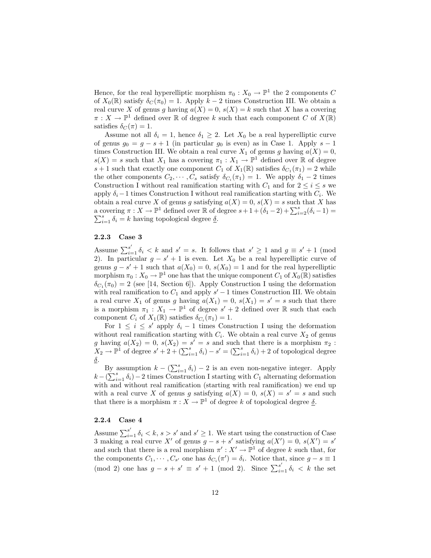Hence, for the real hyperelliptic morphism  $\pi_0 : X_0 \to \mathbb{P}^1$  the 2 components C of  $X_0(\mathbb{R})$  satisfy  $\delta_C(\pi_0) = 1$ . Apply  $k-2$  times Construction III. We obtain a real curve X of genus g having  $a(X) = 0$ ,  $s(X) = k$  such that X has a covering  $\pi: X \to \mathbb{P}^1$  defined over  $\mathbb R$  of degree k such that each component C of  $X(\mathbb R)$ satisfies  $\delta_C(\pi) = 1$ .

Assume not all  $\delta_i = 1$ , hence  $\delta_1 \geq 2$ . Let  $X_0$  be a real hyperelliptic curve of genus  $g_0 = g - s + 1$  (in particular  $g_0$  is even) as in Case 1. Apply  $s - 1$ times Construction III. We obtain a real curve  $X_1$  of genus g having  $a(X) = 0$ ,  $s(X) = s$  such that  $X_1$  has a covering  $\pi_1 : X_1 \to \mathbb{P}^1$  defined over  $\mathbb R$  of degree  $s + 1$  such that exactly one component  $C_1$  of  $X_1(\mathbb{R})$  satisfies  $\delta_{C_1}(\pi_1) = 2$  while the other components  $C_2, \dots, C_s$  satisfy  $\delta_{C_i}(\pi_1) = 1$ . We apply  $\delta_1 - 2$  times Construction I without real ramification starting with  $C_1$  and for  $2 \leq i \leq s$  we apply  $\delta_i-1$  times Construction I without real ramification starting with  $C_i$ . We obtain a real curve X of genus g satisfying  $a(X) = 0$ ,  $s(X) = s$  such that X has a covering  $\pi: X \to \mathbb{P}^1$  defined over  $\mathbb R$  of degree  $s+1+(\delta_1-2)+\sum_{i=2}^s(\delta_i-1)=$  $\sum_{i=1}^{s} \delta_i = k$  having topological degree  $\underline{\delta}$ .

### 2.2.3 Case 3

Assume  $\sum_{i=1}^{s'} \delta_i < k$  and  $s' = s$ . It follows that  $s' \geq 1$  and  $g \equiv s' + 1$  (mod 2). In particular  $g - s' + 1$  is even. Let  $X_0$  be a real hyperelliptic curve of genus  $g - s' + 1$  such that  $a(X_0) = 0$ ,  $s(X_0) = 1$  and for the real hyperelliptic morphism  $\pi_0: X_0 \to \mathbb{P}^1$  one has that the unique component  $C_1$  of  $X_0(\mathbb{R})$  satisfies  $\delta_{C_1}(\pi_0) = 2$  (see [14, Section 6]). Apply Construction I using the deformation with real ramification to  $C_1$  and apply  $s' - 1$  times Construction III. We obtain a real curve  $X_1$  of genus g having  $a(X_1) = 0$ ,  $s(X_1) = s' = s$  such that there is a morphism  $\pi_1 : X_1 \to \mathbb{P}^1$  of degree  $s' + 2$  defined over  $\mathbb R$  such that each component  $C_i$  of  $X_1(\mathbb{R})$  satisfies  $\delta_{C_i}(\pi_1) = 1$ .

For  $1 \leq i \leq s'$  apply  $\delta_i - 1$  times Construction I using the deformation without real ramification starting with  $C_i$ . We obtain a real curve  $X_2$  of genus g having  $a(X_2) = 0$ ,  $s(X_2) = s' = s$  and such that there is a morphism  $\pi_2$ :  $X_2 \to \mathbb{P}^1$  of degree  $s' + 2 + (\sum_{i=1}^s \delta_i) - s' = (\sum_{i=1}^s \delta_i) + 2$  of topological degree  $\underline{\delta}$ .

By assumption  $k - (\sum_{i=1}^{s} \delta_i) - 2$  is an even non-negative integer. Apply  $k - (\sum_{i=1}^{s} \delta_i) - 2$  times Construction I starting with  $C_1$  alternating deformation with and without real ramification (starting with real ramification) we end up with a real curve X of genus g satisfying  $a(X) = 0$ ,  $s(X) = s' = s$  and such that there is a morphism  $\pi : X \to \mathbb{P}^1$  of degree k of topological degree  $\underline{\delta}$ .

#### 2.2.4 Case 4

Assume  $\sum_{i=1}^{s'} \delta_i < k$ ,  $s > s'$  and  $s' \geq 1$ . We start using the construction of Case 3 making a real curve X' of genus  $g - s + s'$  satisfying  $a(X') = 0$ ,  $s(X') = s'$ and such that there is a real morphism  $\pi': X' \to \mathbb{P}^1$  of degree k such that, for the components  $C_1, \dots, C_{s'}$  one has  $\delta_{C_i}(\pi') = \delta_i$ . Notice that, since  $g - s \equiv 1$ (mod 2) one has  $g - s + s' \equiv s' + 1 \pmod{2}$ . Since  $\sum_{i=1}^{s'} \delta_i < k$  the set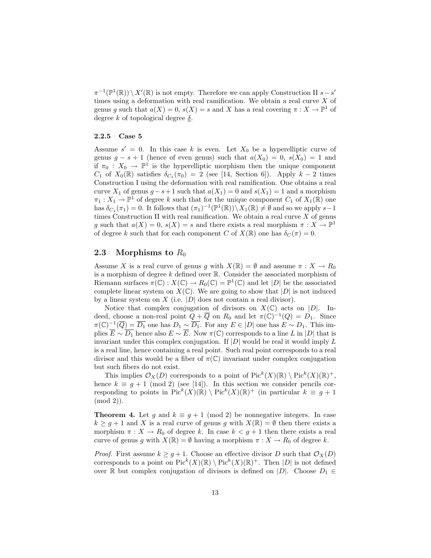$\pi^{-1}(\mathbb{P}^1(\mathbb{R})) \setminus X'(\mathbb{R})$  is not empty. Therefore we can apply Construction II  $s - s'$ times using a deformation with real ramification. We obtain a real curve X of genus g such that  $a(X) = 0$ ,  $s(X) = s$  and X has a real covering  $\pi : X \to \mathbb{P}^1$  of degree k of topological degree  $\delta$ .

#### 2.2.5 Case 5

Assume  $s' = 0$ . In this case k is even. Let  $X_0$  be a hyperelliptic curve of genus  $g - s + 1$  (hence of even genus) such that  $a(X_0) = 0$ ,  $s(X_0) = 1$  and if  $\pi_0$ :  $X_0 \longrightarrow \mathbb{P}^1$  is the hyperelliptic morphism then the unique component  $C_1$  of  $X_0(\mathbb{R})$  satisfies  $\delta_{C_1}(\pi_0) = 2$  (see [14, Section 6]). Apply  $k-2$  times Construction I using the deformation with real ramification. One obtains a real curve  $X_1$  of genus  $g - s + 1$  such that  $a(X_1) = 0$  and  $s(X_1) = 1$  and a morphism  $\pi_1: X_1 \to \mathbb{P}^1$  of degree k such that for the unique component  $C_1$  of  $X_1(\mathbb{R})$  one has  $\delta_{C_1}(\pi_1) = 0$ . It follows that  $(\pi_1)^{-1}(\mathbb{P}^1(\mathbb{R})) \setminus X_1(\mathbb{R}) \neq \emptyset$  and so we apply  $s-1$ times Construction II with real ramification. We obtain a real curve  $X$  of genus g such that  $a(X) = 0$ ,  $s(X) = s$  and there exists a real morphism  $\pi : X \to \mathbb{P}^1$ of degree k such that for each component C of  $X(\mathbb{R})$  one has  $\delta_C(\pi) = 0$ .

## 2.3 Morphisms to  $R_0$

Assume X is a real curve of genus g with  $X(\mathbb{R}) = \emptyset$  and assume  $\pi : X \to R_0$ is a morphism of degree  $k$  defined over  $\mathbb R$ . Consider the associated morphism of Riemann surfaces  $\pi(\mathbb{C}) : X(\mathbb{C}) \to R_0(\mathbb{C}) = \mathbb{P}^1(\mathbb{C})$  and let  $|D|$  be the associated complete linear system on  $X(\mathbb{C})$ . We are going to show that  $|D|$  is not induced by a linear system on  $X$  (i.e.  $|D|$  does not contain a real divisor).

Notice that complex conjugation of divisors on  $X(\mathbb{C})$  acts on  $|D|$ . Indeed, choose a non-real point  $Q + \overline{Q}$  on  $R_0$  and let  $\pi(\mathbb{C})^{-1}(Q) = D_1$ . Since  $\pi(\mathbb{C})^{-1}(\overline{Q}) = \overline{D_1}$  one has  $D_1 \sim \overline{D_1}$ . For any  $E \in |D|$  one has  $E \sim D_1$ . This implies  $\overline{E} \sim \overline{D_1}$  hence also  $E \sim \overline{E}$ . Now  $\pi(\mathbb{C})$  corresponds to a line L in |D| that is invariant under this complex conjugation. If  $|D|$  would be real it would imply L is a real line, hence containing a real point. Such real point corresponds to a real divisor and this would be a fiber of  $\pi(\mathbb{C})$  invariant under complex conjugation but such fibers do not exist.

This implies  $\mathcal{O}_X(D)$  corresponds to a point of  $\text{Pic}^k(X)(\mathbb{R}) \setminus \text{Pic}^k(X)(\mathbb{R})^+,$ hence  $k \equiv g + 1 \pmod{2}$  (see [14]). In this section we consider pencils corresponding to points in  $Pic^k(X)(\mathbb{R}) \setminus Pic^k(X)(\mathbb{R})^+$  (in particular  $k \equiv g+1$ (mod 2)).

**Theorem 4.** Let g and  $k \equiv g + 1 \pmod{2}$  be nonnegative integers. In case  $k \geq g+1$  and X is a real curve of genus g with  $X(\mathbb{R}) = \emptyset$  then there exists a morphism  $\pi : X \to R_0$  of degree k. In case  $k < g+1$  then there exists a real curve of genus g with  $X(\mathbb{R}) = \emptyset$  having a morphism  $\pi : X \to R_0$  of degree k.

*Proof.* First assume  $k \geq g+1$ . Choose an effective divisor D such that  $\mathcal{O}_X(D)$ corresponds to a point on  $\operatorname{Pic}^k(X)(\mathbb{R}) \setminus \operatorname{Pic}^k(X)(\mathbb{R})^+$ . Then  $|D|$  is not defined over R but complex conjugation of divisors is defined on |D|. Choose  $D_1 \in$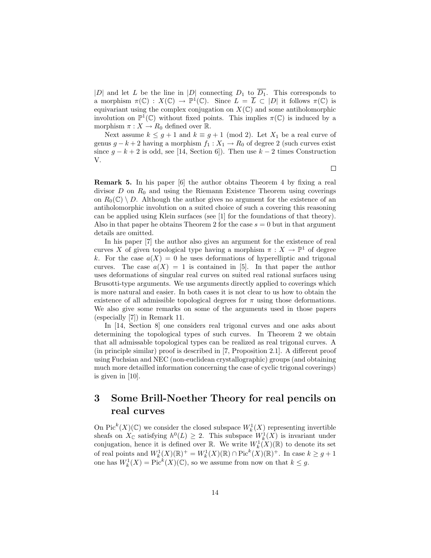|D| and let L be the line in |D| connecting  $D_1$  to  $\overline{D_1}$ . This corresponds to a morphism  $\pi(\mathbb{C}) : X(\mathbb{C}) \to \mathbb{P}^1(\mathbb{C})$ . Since  $L = \overline{L} \subset |D|$  it follows  $\pi(\mathbb{C})$  is equivariant using the complex conjugation on  $X(\mathbb{C})$  and some antiholomorphic involution on  $\mathbb{P}^1(\mathbb{C})$  without fixed points. This implies  $\pi(\mathbb{C})$  is induced by a morphism  $\pi: X \to R_0$  defined over  $\mathbb{R}$ .

Next assume  $k \leq g+1$  and  $k \equiv g+1 \pmod{2}$ . Let  $X_1$  be a real curve of genus  $g - k + 2$  having a morphism  $f_1 : X_1 \to R_0$  of degree 2 (such curves exist since  $g - k + 2$  is odd, see [14, Section 6]). Then use  $k - 2$  times Construction V.

Remark 5. In his paper [6] the author obtains Theorem 4 by fixing a real divisor  $D$  on  $R_0$  and using the Riemann Existence Theorem using coverings on  $R_0(\mathbb{C}) \setminus D$ . Although the author gives no argument for the existence of an antiholomorphic involution on a suited choice of such a covering this reasoning can be applied using Klein surfaces (see [1] for the foundations of that theory). Also in that paper he obtains Theorem 2 for the case  $s = 0$  but in that argument details are omitted.

In his paper [7] the author also gives an argument for the existence of real curves X of given topological type having a morphism  $\pi : X \to \mathbb{P}^1$  of degree k. For the case  $a(X) = 0$  he uses deformations of hyperelliptic and trigonal curves. The case  $a(X) = 1$  is contained in [5]. In that paper the author uses deformations of singular real curves on suited real rational surfaces using Brusotti-type arguments. We use arguments directly applied to coverings which is more natural and easier. In both cases it is not clear to us how to obtain the existence of all admissible topological degrees for  $\pi$  using those deformations. We also give some remarks on some of the arguments used in those papers (especially [7]) in Remark 11.

In [14, Section 8] one considers real trigonal curves and one asks about determining the topological types of such curves. In Theorem 2 we obtain that all admissable topological types can be realized as real trigonal curves. A (in principle similar) proof is described in [7, Proposition 2.1]. A different proof using Fuchsian and NEC (non-euclidean crystallographic) groups (and obtaining much more detailled information concerning the case of cyclic trigonal coverings) is given in [10].

## 3 Some Brill-Noether Theory for real pencils on real curves

On  $\operatorname{Pic}^k(X)({\mathbb C})$  we consider the closed subspace  $W^1_k(X)$  representing invertible sheafs on  $X_{\mathbb{C}}$  satisfying  $h^0(L) \geq 2$ . This subspace  $W_k^1(X)$  is invariant under conjugation, hence it is defined over  $\mathbb{R}$ . We write  $W_k^1(X)(\mathbb{R})$  to denote its set of real points and  $W_k^1(X)(\mathbb{R})^+ = W_k^1(X)(\mathbb{R}) \cap \text{Pic}^k(X)(\mathbb{R})^+$ . In case  $k \ge g+1$ one has  $W_k^1(X) = \text{Pic}^k(X)(\mathbb{C})$ , so we assume from now on that  $k \leq g$ .

 $\Box$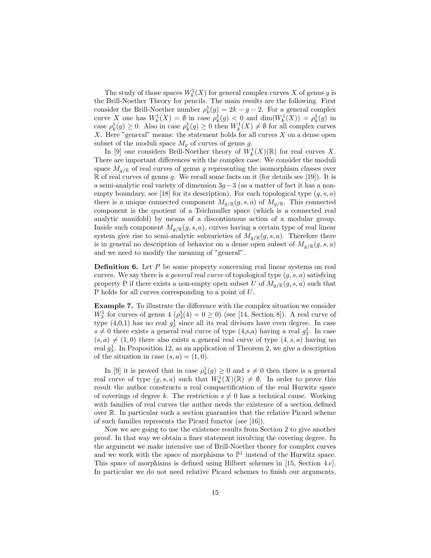The study of those spaces  $W_k^1(X)$  for general complex curves X of genus g is the Brill-Noether Theory for pencils. The main results are the following. First consider the Brill-Noether number  $\rho_k^1(g) = 2k - g - 2$ . For a general complex curve X one has  $W_k^1(X) = \emptyset$  in case  $\rho_k^1(g) < 0$  and  $\dim(W_k^1(X)) = \rho_k^1(g)$  in case  $\rho_k^1(g) \geq 0$ . Also in case  $\rho_k^1(g) \geq 0$  then  $W_k^1(X) \neq \emptyset$  for all complex curves  $X$ . Here "general" means: the statement holds for all curves  $X$  on a dense open subset of the moduli space  $M_q$  of curves of genus g.

In [9] one considers Brill-Noether theory of  $W_k^1(X)(\mathbb{R})$  for real curves X. There are important differences with the complex case. We consider the moduli space  $M_{q/\mathbb{R}}$  of real curves of genus g representing the isomorphism classes over  $\mathbb R$  of real curves of genus g. We recall some facts on it (for details see [19]). It is a semi-analytic real variety of dimension  $3g-3$  (as a matter of fact it has a nonempty boundary, see [18] for its description). For each topological type  $(g, s, a)$ there is a unique connected component  $M_{q/\mathbb{R}}(g, s, a)$  of  $M_{q/\mathbb{R}}$ . This connected component is the quotient of a Teichmuller space (which is a connected real analytic manifold) by means of a discontinuous action of a modular group. Inside such component  $M_{q/\mathbb{R}}(g, s, a)$ , curves having a certain type of real linear system give rise to semi-analytic subvarieties of  $M_{g/\mathbb{R}}(g, s, a)$ . Therefore there is in general no description of behavior on a dense open subset of  $M_{q/\mathbb{R}}(g, s, a)$ and we need to modify the meaning of "general".

**Definition 6.** Let  $P$  be some property concerning real linear systems on real curves. We say there is a general real curve of topological type  $(g, s, a)$  satisfying property P if there exists a non-empty open subset U of  $M_{q/\mathbb{R}}(q, s, a)$  such that P holds for all curves corresponding to a point of U.

Example 7. To illustrate the difference with the complex situation we consider  $W_3^1$  for curves of genus  $4\left(\rho_3^1(4)\right)=0\geq 0$ ) (see [14, Section 8]). A real curve of type  $(4,0,1)$  has no real  $g_3^1$  since all its real divisors have even degree. In case  $s \neq 0$  there exists a general real curve of type (4,s,a) having a real  $g_3^1$ . In case  $(s, a) \neq (1, 0)$  there also exists a general real curve of type  $(4, s, a)$  having no real  $g_3^1$ . In Proposition 12, as an application of Theorem 2, we give a description of the situation in case  $(s, a) = (1, 0)$ .

In [9] it is proved that in case  $\rho_k^1(g) \geq 0$  and  $s \neq 0$  then there is a general real curve of type  $(g, s, a)$  such that  $W_k^1(X)(\mathbb{R}) \neq \emptyset$ . In order to prove this result the author constructs a real compactification of the real Hurwitz space of coverings of degree k. The restriction  $s \neq 0$  has a technical cause. Working with families of real curves the author needs the existence of a section defined over R. In particular such a section guaranties that the relative Picard scheme of such families represents the Picard functor (see [16]).

Now we are going to use the existence results from Section 2 to give another proof. In that way we obtain a finer statement involving the covering degree. In the argument we make intensive use of Brill-Noether theory for complex curves and we work with the space of morphisms to  $\mathbb{P}^1$  instead of the Hurwitz space. This space of morphisms is defined using Hilbert schemes in [15, Section 4.c]. In particular we do not need relative Picard schemes to finish our arguments,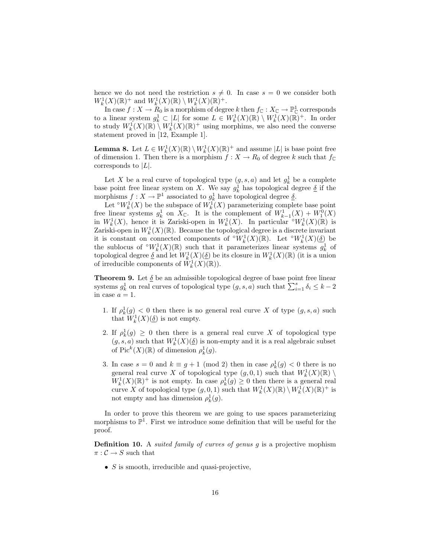hence we do not need the restriction  $s \neq 0$ . In case  $s = 0$  we consider both  $W_k^1(X)(\mathbb{R})^+$  and  $W_k^1(X)(\mathbb{R}) \setminus W_k^1(X)(\mathbb{R})^+$ .

In case  $f: X \to R_0$  is a morphism of degree k then  $f_{\mathbb{C}}: X_{\mathbb{C}} \to \mathbb{P}^1_{\mathbb{C}}$  corresponds to a linear system  $g_k^1 \subset |L|$  for some  $L \in W_k^1(X)(\mathbb{R}) \setminus W_k^1(X)(\mathbb{R})^+$ . In order to study  $W_k^1(X)(\mathbb{R}) \setminus W_k^1(X)(\mathbb{R})^+$  using morphims, we also need the converse statement proved in [12, Example 1].

**Lemma 8.** Let  $L \in W_k^1(X)(\mathbb{R}) \setminus W_k^1(X)(\mathbb{R})^+$  and assume |L| is base point free of dimension 1. Then there is a morphism  $f: X \to R_0$  of degree k such that  $f_{\mathbb{C}}$ corresponds to  $|L|$ .

Let X be a real curve of topological type  $(g, s, a)$  and let  $g_k^1$  be a complete base point free linear system on X. We say  $g_k^1$  has topological degree  $\delta$  if the morphisms  $f : X \to \mathbb{P}^1$  associated to  $g_k^1$  have topological degree  $\underline{\delta}$ .

Let  $\mathcal{O}W^1_k(X)$  be the subspace of  $W^1_k(X)$  parameterizing complete base point free linear systems  $g_k^1$  on  $X_{\mathbb{C}}$ . It is the complement of  $W_{k-1}^1(X) + W_1^0(X)$ in  $W_k^1(X)$ , hence it is Zariski-open in  $W_k^1(X)$ . In particular  $\mathcal{L}_k^1(X)(\mathbb{R})$  is Zariski-open in  $W_k^1(X)(\mathbb{R})$ . Because the topological degree is a discrete invariant it is constant on connected components of  $\mathcal{N}_k^1(X)(\mathbb{R})$ . Let  $\mathcal{N}_k^1(X)(\underline{\delta})$  be the sublocus of ° $W_k^1(X)(\mathbb{R})$  such that it parameterizes linear systems  $g_k^1$  of topological degree  $\underline{\delta}$  and let  $W^1_k(X)(\underline{\delta})$  be its closure in  $W^1_k(X)(\mathbb{R})$  (it is a union of irreducible components of  $\tilde{W}_k^1(X)(\mathbb{R})$ .

**Theorem 9.** Let  $\delta$  be an admissible topological degree of base point free linear systems  $g_k^1$  on real curves of topological type  $(g, s, a)$  such that  $\sum_{i=1}^s \delta_i \leq k-2$ in case  $a = 1$ .

- 1. If  $\rho_k^1(g) < 0$  then there is no general real curve X of type  $(g, s, a)$  such that  $W_k^1(X)(\underline{\delta})$  is not empty.
- 2. If  $\rho_k^1(g) \geq 0$  then there is a general real curve X of topological type  $(g,s,a)$  such that  $W^1_k(X)(\underline{\delta})$  is non-empty and it is a real algebraic subset of Pic<sup>k</sup> $(X)(\mathbb{R})$  of dimension  $\rho_k^1(g)$ .
- 3. In case  $s = 0$  and  $k \equiv g + 1 \pmod{2}$  then in case  $\rho_k^1(g) < 0$  there is no general real curve X of topological type  $(g, 0, 1)$  such that  $W_k^1(X)(\mathbb{R}) \setminus$  $W_k^1(X)(\mathbb{R})^+$  is not empty. In case  $\rho_k^1(g) \geq 0$  then there is a general real curve X of topological type  $(g, 0, 1)$  such that  $W_k^1(X)(\mathbb{R}) \setminus W_k^1(X)(\mathbb{R})^+$  is not empty and has dimension  $\rho_k^1(g)$ .

In order to prove this theorem we are going to use spaces parameterizing morphisms to  $\mathbb{P}^1$ . First we introduce some definition that will be useful for the proof.

**Definition 10.** A *suited family of curves of genus q* is a projective mophism  $\pi : \mathcal{C} \to S$  such that

•  $S$  is smooth, irreducible and quasi-projective,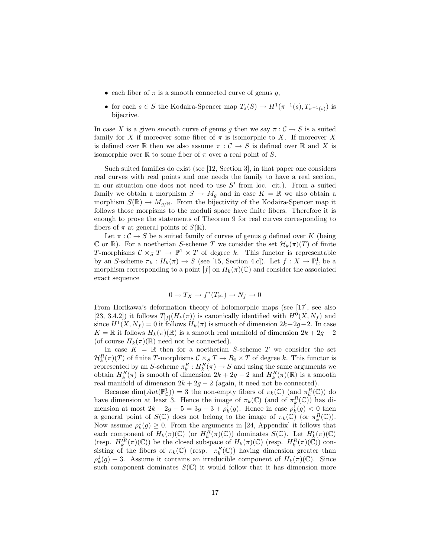- each fiber of  $\pi$  is a smooth connected curve of genus g,
- for each  $s \in S$  the Kodaira-Spencer map  $T_s(S) \to H^1(\pi^{-1}(s), T_{\pi^{-1}(s)})$  is bijective.

In case X is a given smooth curve of genus q then we say  $\pi : \mathcal{C} \to S$  is a suited family for X if moreover some fiber of  $\pi$  is isomorphic to X. If moreover X is defined over R then we also assume  $\pi : \mathcal{C} \to S$  is defined over R and X is isomorphic over  $\mathbb R$  to some fiber of  $\pi$  over a real point of S.

Such suited families do exist (see [12, Section 3], in that paper one considers real curves with real points and one needs the family to have a real section, in our situation one does not need to use  $S'$  from loc. cit.). From a suited family we obtain a morphism  $S \to M_g$  and in case  $K = \mathbb{R}$  we also obtain a morphism  $S(\mathbb{R}) \to M_{q/\mathbb{R}}$ . From the bijectivity of the Kodaira-Spencer map it follows those morpisms to the moduli space have finite fibers. Therefore it is enough to prove the statements of Theorem 9 for real curves corresponding to fibers of  $\pi$  at general points of  $S(\mathbb{R})$ .

Let  $\pi : \mathcal{C} \to S$  be a suited family of curves of genus g defined over K (being C or R). For a noetherian S-scheme T we consider the set  $\mathcal{H}_k(\pi)(T)$  of finite T-morphisms  $C \times_S T \to \mathbb{P}^1 \times T$  of degree k. This functor is representable by an S-scheme  $\pi_k: H_k(\pi) \to S$  (see [15, Section 4.c]). Let  $f: X \to \mathbb{P}^1_{\mathbb{C}}$  be a morphism corresponding to a point  $[f]$  on  $H_k(\pi)(\mathbb{C})$  and consider the associated exact sequence

$$
0 \to T_X \to f^*(T_{\mathbb{P}^1}) \to N_f \to 0
$$

From Horikawa's deformation theory of holomorphic maps (see [17], see also [23, 3.4.2]) it follows  $T_{[f]}(H_k(\pi))$  is canonically identified with  $H^0(X, N_f)$  and since  $H^1(X, N_f) = 0$  it follows  $H_k(\pi)$  is smooth of dimension  $2k+2g-2$ . In case  $K = \mathbb{R}$  it follows  $H_k(\pi)(\mathbb{R})$  is a smooth real manifold of dimension  $2k + 2g - 2$ (of course  $H_k(\pi)(\mathbb{R})$  need not be connected).

In case  $K = \mathbb{R}$  then for a noetherian S-scheme T we consider the set  $\mathcal{H}_k^R(\pi)(T)$  of finite T-morphisms  $\mathcal{C} \times_S T \to R_0 \times T$  of degree k. This functor is represented by an S-scheme  $\pi_k^R: H_k^R(\pi) \to S$  and using the same arguments we obtain  $H_k^R(\pi)$  is smooth of dimension  $2k + 2g - 2$  and  $H_k^R(\pi)$ ( $\mathbb{R}$ ) is a smooth real manifold of dimension  $2k + 2g - 2$  (again, it need not be connected).

Because  $\dim(Aut(\mathbb{P}_{\mathbb{C}}^1)) = 3$  the non-empty fibers of  $\pi_k(\mathbb{C})$  (and  $\pi_k^R(\mathbb{C})$ ) do have dimension at least 3. Hence the image of  $\pi_k(\mathbb{C})$  (and of  $\pi_k^R(\mathbb{C})$ ) has dimension at most  $2k + 2g - 5 = 3g - 3 + \rho_k(g)$ . Hence in case  $\rho_k^1(g) < 0$  then a general point of  $S(\mathbb{C})$  does not belong to the image of  $\pi_k(\mathbb{C})$  (or  $\pi_k^R(\mathbb{C})$ ). Now assume  $\rho_k^1(g) \geq 0$ . From the arguments in [24, Appendix] it follows that each component of  $H_k(\pi)(\mathbb{C})$  (or  $H_k^{\widetilde{R}}(\pi)(\mathbb{C})$ ) dominates  $S(\mathbb{C})$ . Let  $H'_k(\pi)(\mathbb{C})$ (resp.  $H_k^R(\pi)(\mathbb{C})$ ) be the closed subspace of  $H_k(\pi)(\mathbb{C})$  (resp.  $H_k^R(\pi)(\mathbb{C})$ ) consisting of the fibers of  $\pi_k(\mathbb{C})$  (resp.  $\pi_k^R(\mathbb{C})$ ) having dimension greater than  $\rho_k^1(g) + 3$ . Assume it contains an irreducible component of  $H_k(\pi)(\mathbb{C})$ . Since such component dominates  $S(\mathbb{C})$  it would follow that it has dimension more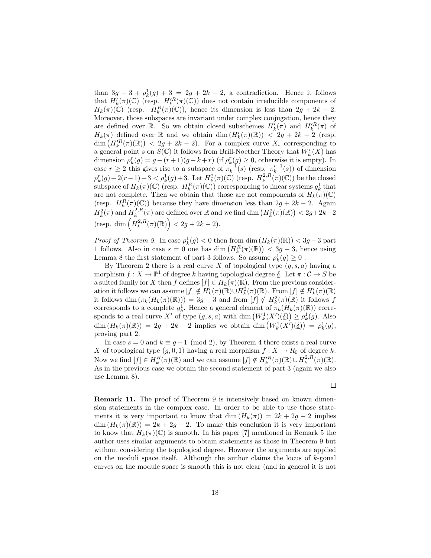than  $3g - 3 + \rho_k^1(g) + 3 = 2g + 2k - 2$ , a contradiction. Hence it follows that  $H'_{k}(\pi)(\mathbb{C})$  (resp.  $H'^{R}_{k}(\pi)(\mathbb{C})$ ) does not contain irreducible components of  $H_k(\pi)(\mathbb{C})$  (resp.  $H_k^R(\pi)(\mathbb{C})$ ), hence its dimension is less than  $2g + 2k - 2$ . Moreover, those subspaces are invariant under complex conjugation, hence they are defined over  $\mathbb{R}$ . So we obtain closed subschemes  $H'_k(\pi)$  and  $H'^R_k(\pi)$  of  $H_k(\pi)$  defined over  $\mathbb R$  and we obtain dim  $(H'_k(\pi)(\mathbb R)) < 2g + 2k - 2$  (resp.  $\dim\left(H_k^{\prime R}(\pi)(\mathbb{R})\right) < 2g + 2k - 2$ . For a complex curve  $X_s$  corresponding to a general point s on  $S(\mathbb{C})$  it follows from Brill-Noether Theory that  $W_k^r(X)$  has dimension  $\rho_k^r(g) = g - (r+1)(g-k+r)$  (if  $\rho_k^r(g) \geq 0$ , otherwise it is empty). In case  $r \geq 2$  this gives rise to a subspace of  $\pi_k^{-1}(s)$  (resp.  $\pi_k'^{-1}(s)$ ) of dimension  $\rho_k^r(g) + 2(r-1) + 3 < \rho_k^1(g) + 3$ . Let  $H_k^2(\pi)(\mathbb{C})$  (resp.  $H_k^{2,R}(\pi)(\mathbb{C})$ ) be the closed subspace of  $H_k(\pi)(\mathbb{C})$  (resp.  $H_k^R(\pi)(\mathbb{C})$ ) corresponding to linear systems  $g_k^1$  that are not complete. Then we obtain that those are not components of  $H_k(\pi)(\mathbb{C})$ (resp.  $H_k^R(\pi)(\mathbb{C})$ ) because they have dimension less than  $2g + 2k - 2$ . Again  $H_k^2(\pi)$  and  $H_k^{2,R}(\pi)$  are defined over  $\mathbb R$  and we find dim  $\left(H_k^2(\pi)(\mathbb R)\right) < 2g+2k-2$ (resp. dim  $\left(H_k^{2,R}(\pi)(\mathbb{R})\right) < 2g + 2k - 2$ ).

Proof of Theorem 9. In case  $\rho_k^1(g) < 0$  then from  $\dim(H_k(\pi)(\mathbb{R})) < 3g-3$  part 1 follows. Also in case  $s = 0$  one has dim  $(H_k^R(\pi)(\mathbb{R})) < 3g - 3$ , hence using Lemma 8 the first statement of part 3 follows. So assume  $\rho_k^1(g) \ge 0$ .

By Theorem 2 there is a real curve X of topological type  $(g, s, a)$  having a morphism  $f: X \to \mathbb{P}^1$  of degree k having topological degree  $\delta$ . Let  $\pi: \mathcal{C} \to S$  be a suited family for X then f defines  $[f] \in H_k(\pi)(\mathbb{R})$ . From the previous consideration it follows we can assume  $[f] \notin H'_{k}(\pi)(\mathbb{R}) \cup H^{2}_{k}(\pi)(\mathbb{R})$ . From  $[f] \notin H'_{k}(\pi)(\mathbb{R})$ it follows dim  $(\pi_k(H_k(\pi)(\mathbb{R}))) = 3g - 3$  and from  $[f] \notin H_k^2(\pi)(\mathbb{R})$  it follows f corresponds to a complete  $g_k^1$ . Hence a general element of  $\pi_k(H_k(\pi)(\mathbb{R}))$  corresponds to a real curve X' of type  $(g, s, a)$  with dim  $(W_k^1(X')(\underline{\delta})) \ge \rho_k^1(g)$ . Also  $\dim(H_k(\pi)(\mathbb{R})) = 2g + 2k - 2$  implies we obtain  $\dim(W_k^1(X')(\underline{\delta})) = \rho_k^1(g)$ , proving part 2.

In case  $s = 0$  and  $k \equiv q + 1 \pmod{2}$ , by Theorem 4 there exists a real curve X of topological type  $(g, 0, 1)$  having a real morphism  $f : X \to R_0$  of degree k. Now we find  $[f] \in H_k^R(\pi)(\mathbb{R})$  and we can assume  $[f] \notin H_k^{\prime R}(\pi)(\mathbb{R}) \cup H_k^{2,R}(\pi)(\mathbb{R})$ . As in the previous case we obtain the second statement of part 3 (again we also use Lemma 8).

 $\Box$ 

Remark 11. The proof of Theorem 9 is intensively based on known dimension statements in the complex case. In order to be able to use those statements it is very important to know that  $\dim (H_k(\pi)) = 2k + 2g - 2$  implies  $\dim (H_k(\pi)(\mathbb{R})) = 2k + 2g - 2$ . To make this conclusion it is very important to know that  $H_k(\pi)(\mathbb{C})$  is smooth. In his paper [7] mentioned in Remark 5 the author uses similar arguments to obtain statements as those in Theorem 9 but without considering the topological degree. However the arguments are applied on the moduli space itself. Although the author claims the locus of  $k$ -gonal curves on the module space is smooth this is not clear (and in general it is not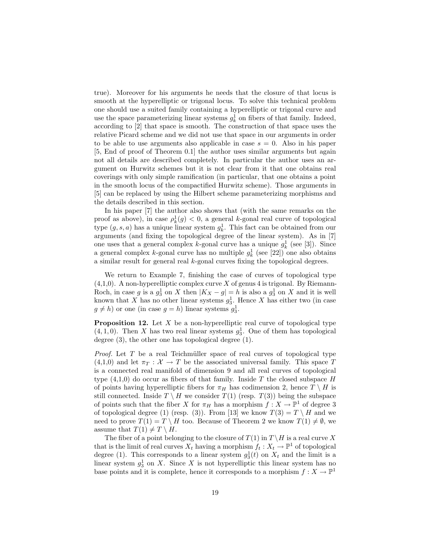true). Moreover for his arguments he needs that the closure of that locus is smooth at the hyperelliptic or trigonal locus. To solve this technical problem one should use a suited family containing a hyperelliptic or trigonal curve and use the space parameterizing linear systems  $g_k^1$  on fibers of that family. Indeed, according to [2] that space is smooth. The construction of that space uses the relative Picard scheme and we did not use that space in our arguments in order to be able to use arguments also applicable in case  $s = 0$ . Also in his paper [5, End of proof of Theorem 0.1] the author uses similar arguments but again not all details are described completely. In particular the author uses an argument on Hurwitz schemes but it is not clear from it that one obtains real coverings with only simple ramification (in particular, that one obtains a point in the smooth locus of the compactified Hurwitz scheme). Those arguments in [5] can be replaced by using the Hilbert scheme parameterizing morphisms and the details described in this section.

In his paper [7] the author also shows that (with the same remarks on the proof as above), in case  $\rho_k^1(g) < 0$ , a general k-gonal real curve of topological type  $(g, s, a)$  has a unique linear system  $g_k^1$ . This fact can be obtained from our arguments (and fixing the topological degree of the linear system). As in [7] one uses that a general complex k-gonal curve has a unique  $g_k^1$  (see [3]). Since a general complex *k*-gonal curve has no multiple  $g_k^1$  (see [22]) one also obtains a similar result for general real k-gonal curves fixing the topological degrees.

We return to Example 7, finishing the case of curves of topological type  $(4,1,0)$ . A non-hyperelliptic complex curve X of genus 4 is trigonal. By Riemann-Roch, in case g is a  $g_3^1$  on X then  $|K_X - g| = h$  is also a  $g_3^1$  on X and it is well known that X has no other linear systems  $g_3^1$ . Hence X has either two (in case  $g \neq h$ ) or one (in case  $g = h$ ) linear systems  $g_3^1$ .

**Proposition 12.** Let  $X$  be a non-hyperelliptic real curve of topological type  $(4, 1, 0)$ . Then X has two real linear systems  $g_3^1$ . One of them has topological degree (3), the other one has topological degree (1).

*Proof.* Let T be a real Teichmüller space of real curves of topological type  $(4,1,0)$  and let  $\pi_T : \mathcal{X} \to T$  be the associated universal family. This space T is a connected real manifold of dimension 9 and all real curves of topological type  $(4,1,0)$  do occur as fibers of that family. Inside T the closed subspace H of points having hyperelliptic fibers for  $\pi_H$  has codimension 2, hence  $T \setminus H$  is still connected. Inside  $T \setminus H$  we consider  $T(1)$  (resp.  $T(3)$ ) being the subspace of points such that the fiber X for  $\pi_H$  has a morphism  $f: X \to \mathbb{P}^1$  of degree 3 of topological degree (1) (resp. (3)). From [13] we know  $T(3) = T \setminus H$  and we need to prove  $T(1) = T \setminus H$  too. Because of Theorem 2 we know  $T(1) \neq \emptyset$ , we assume that  $T(1) \neq T \setminus H$ .

The fiber of a point belonging to the closure of  $T(1)$  in  $T \setminus H$  is a real curve X that is the limit of real curves  $X_t$  having a morphism  $f_t: X_t \to \mathbb{P}^1$  of topological degree (1). This corresponds to a linear system  $g_3^1(t)$  on  $X_t$  and the limit is a linear system  $g_3^1$  on X. Since X is not hyperelliptic this linear system has no base points and it is complete, hence it corresponds to a morphism  $f: X \to \mathbb{P}^1$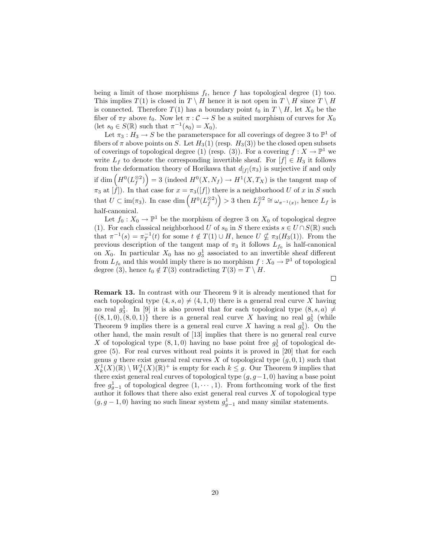being a limit of those morphisms  $f_t$ , hence f has topological degree (1) too. This implies  $T(1)$  is closed in  $T \setminus H$  hence it is not open in  $T \setminus H$  since  $T \setminus H$ is connected. Therefore  $T(1)$  has a boundary point  $t_0$  in  $T \setminus H$ , let  $X_0$  be the fiber of  $\pi_T$  above  $t_0$ . Now let  $\pi : \mathcal{C} \to S$  be a suited morphism of curves for  $X_0$ (let  $s_0 \in S(\mathbb{R})$  such that  $\pi^{-1}(s_0) = X_0$ ).

Let  $\pi_3 : H_3 \to S$  be the parameterspace for all coverings of degree 3 to  $\mathbb{P}^1$  of fibers of  $\pi$  above points on S. Let  $H_3(1)$  (resp.  $H_3(3)$ ) be the closed open subsets of coverings of topological degree (1) (resp. (3)). For a covering  $f: X \to \mathbb{P}^1$  we write  $L_f$  to denote the corresponding invertible sheaf. For  $[f] \in H_3$  it follows from the deformation theory of Horikawa that  $d_{[f]}(\pi_3)$  is surjective if and only if dim  $(H^0(L_f^{\otimes 2})\big) = 3$  (indeed  $H^0(X, N_f) \to H^1(X, T_X)$ ) is the tangent map of  $\pi_3$  at  $[f]$ ). In that case for  $x = \pi_3([f])$  there is a neighborhood U of x in S such that  $U \subset \text{im}(\pi_3)$ . In case dim  $\left(H^0(L_f^{\otimes 2})\right) > 3$  then  $L_f^{\otimes 2} \cong \omega_{\pi^{-1}(x)}$ , hence  $L_f$  is half-canonical.

Let  $f_0: X_0 \to \mathbb{P}^1$  be the morphism of degree 3 on  $X_0$  of topological degree (1). For each classical neighborhood U of  $s_0$  in S there exists  $s \in U \cap S(\mathbb{R})$  such that  $\pi^{-1}(s) = \pi_T^{-1}(t)$  for some  $t \notin T(1) \cup H$ , hence  $U \nsubseteq \pi_3(H_3(1))$ . From the previous description of the tangent map of  $\pi_3$  it follows  $L_{f_0}$  is half-canonical on  $X_0$ . In particular  $X_0$  has no  $g_3^1$  associated to an invertible sheaf different from  $L_{f_0}$  and this would imply there is no morphism  $f : X_0 \to \mathbb{P}^1$  of topological degree (3), hence  $t_0 \notin T(3)$  contradicting  $T(3) = T \setminus H$ .

 $\Box$ 

Remark 13. In contrast with our Theorem 9 it is already mentioned that for each topological type  $(4, s, a) \neq (4, 1, 0)$  there is a general real curve X having no real  $g_3^1$ . In [9] it is also proved that for each topological type  $(8, s, a) \neq$  $\{(8, 1, 0), (8, 0, 1)\}\$  there is a general real curve X having no real  $g_5^1$  (while Theorem 9 implies there is a general real curve X having a real  $g_5^1$ ). On the other hand, the main result of [13] implies that there is no general real curve X of topological type  $(8, 1, 0)$  having no base point free  $g_5^1$  of topological degree (5). For real curves without real points it is proved in [20] that for each genus g there exist general real curves X of topological type  $(g, 0, 1)$  such that  $X^1_k(X)(\mathbb{R}) \setminus W^1_k(X)(\mathbb{R})^+$  is empty for each  $k \leq g$ . Our Theorem 9 implies that there exist general real curves of topological type  $(g, g-1, 0)$  having a base point free  $g_{g-1}^1$  of topological degree  $(1, \dots, 1)$ . From forthcoming work of the first author it follows that there also exist general real curves  $X$  of topological type  $(g, g-1, 0)$  having no such linear system  $g_{g-1}^1$  and many similar statements.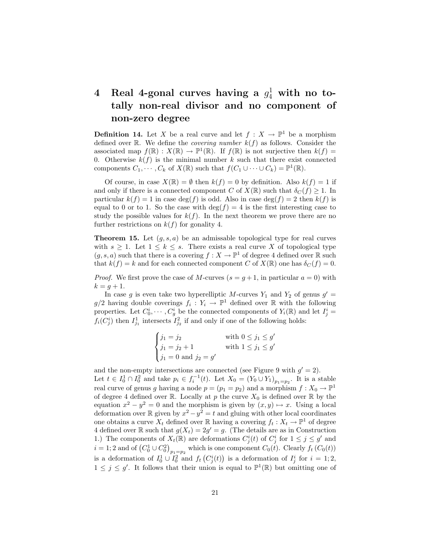# 4 Real 4-gonal curves having a  $g_4^1$  with no totally non-real divisor and no component of non-zero degree

**Definition 14.** Let X be a real curve and let  $f: X \to \mathbb{P}^1$  be a morphism defined over  $\mathbb R$ . We define the *covering number*  $k(f)$  as follows. Consider the associated map  $f(\mathbb{R}) : X(\mathbb{R}) \to \mathbb{P}^1(\mathbb{R})$ . If  $f(\mathbb{R})$  is not surjective then  $k(f) =$ 0. Otherwise  $k(f)$  is the minimal number k such that there exist connected components  $C_1, \dots, C_k$  of  $X(\mathbb{R})$  such that  $f(C_1 \cup \dots \cup C_k) = \mathbb{P}^1(\mathbb{R})$ .

Of course, in case  $X(\mathbb{R}) = \emptyset$  then  $k(f) = 0$  by definition. Also  $k(f) = 1$  if and only if there is a connected component C of  $X(\mathbb{R})$  such that  $\delta_C(f) \geq 1$ . In particular  $k(f) = 1$  in case deg(f) is odd. Also in case deg(f) = 2 then  $k(f)$  is equal to 0 or to 1. So the case with  $\deg(f) = 4$  is the first interesting case to study the possible values for  $k(f)$ . In the next theorem we prove there are no further restrictions on  $k(f)$  for gonality 4.

**Theorem 15.** Let  $(g, s, a)$  be an admissable topological type for real curves with  $s \geq 1$ . Let  $1 \leq k \leq s$ . There exists a real curve X of topological type  $(g, s, a)$  such that there is a covering  $f : X \to \mathbb{P}^1$  of degree 4 defined over  $\mathbb R$  such that  $k(f) = k$  and for each connected component C of  $X(\mathbb{R})$  one has  $\delta_C(f) = 0$ .

*Proof.* We first prove the case of M-curves  $(s = g + 1)$ , in particular  $a = 0$ ) with  $k = g + 1.$ 

In case g is even take two hyperelliptic M-curves  $Y_1$  and  $Y_2$  of genus  $g' =$  $g/2$  having double coverings  $f_i: Y_i \to \mathbb{P}^1$  defined over  $\mathbb R$  with the following properties. Let  $C_0^i, \dots, C_g^i$  be the connected components of  $Y_i(\mathbb{R})$  and let  $I_j^i =$  $f_i(C_j^i)$  then  $I_{j_1}^1$  intersects  $I_{j_2}^2$  if and only if one of the following holds:

$$
\begin{cases}\nj_1 = j_2 & \text{with } 0 \le j_1 \le g' \\
j_1 = j_2 + 1 & \text{with } 1 \le j_1 \le g' \\
j_1 = 0 \text{ and } j_2 = g'\n\end{cases}
$$

and the non-empty intersections are connected (see Figure 9 with  $g' = 2$ ). Let  $t \in I_0^1 \cap I_0^2$  and take  $p_i \in f_i^{-1}(t)$ . Let  $X_0 = (Y_0 \cup Y_1)_{p_1=p_2}$ . It is a stable real curve of genus g having a node  $p = (p_1 = p_2)$  and a morphism  $f: X_0 \to \mathbb{P}^1$ of degree 4 defined over R. Locally at p the curve  $X_0$  is defined over R by the equation  $x^2 - y^2 = 0$  and the morphism is given by  $(x, y) \mapsto x$ . Using a local deformation over R given by  $x^2 - y^2 = t$  and gluing with other local coordinates one obtains a curve  $X_t$  defined over R having a covering  $f_t : X_t \to \mathbb{P}^1$  of degree 4 defined over  $\mathbb R$  such that  $g(X_t) = 2g' = g$ . (The details are as in Construction 1.) The components of  $X_t(\mathbb{R})$  are deformations  $C^i_j(t)$  of  $C^i_j$  for  $1 \leq j \leq g'$  and  $i = 1,2$  and of  $(C_0^1 \cup C_0^2)_{p_1=p_2}$  which is one component  $C_0(t)$ . Clearly  $f_t(C_0(t))$ is a deformation of  $I_0^1 \cup I_0^2$  and  $f_t(C_j^i(t))$  is a deformation of  $I_j^i$  for  $i = 1, 2,$  $1 \leq j \leq g'$ . It follows that their union is equal to  $\mathbb{P}^1(\mathbb{R})$  but omitting one of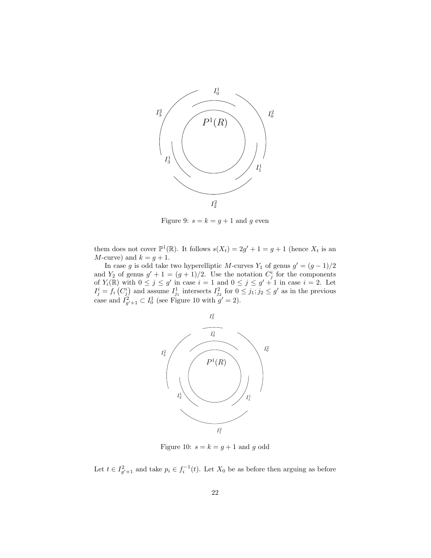

Figure 9:  $s = k = g + 1$  and g even

them does not cover  $\mathbb{P}^1(\mathbb{R})$ . It follows  $s(X_t) = 2g' + 1 = g + 1$  (hence  $X_t$  is an M-curve) and  $k = g + 1$ .

In case g is odd take two hyperelliptic M-curves Y<sub>1</sub> of genus  $g' = (g - 1)/2$ and  $Y_2$  of genus  $g' + 1 = (g + 1)/2$ . Use the notation  $C_j^i$  for the components of  $Y_i(\mathbb{R})$  with  $0 \leq j \leq g'$  in case  $i = 1$  and  $0 \leq j \leq g' + 1$  in case  $i = 2$ . Let  $I_j^i = f_i(C_j^i)$  and assume  $I_{j_1}^1$  intersects  $I_{j_2}^2$  for  $0 \leq j_1; j_2 \leq g'$  as in the previous case and  $I_{g'+1}^2 \subset I_0^1$  (see Figure 10 with  $g'=2$ ).



Figure 10:  $s = k = g + 1$  and g odd

Let  $t \in I_{g'+1}^2$  and take  $p_i \in f_i^{-1}(t)$ . Let  $X_0$  be as before then arguing as before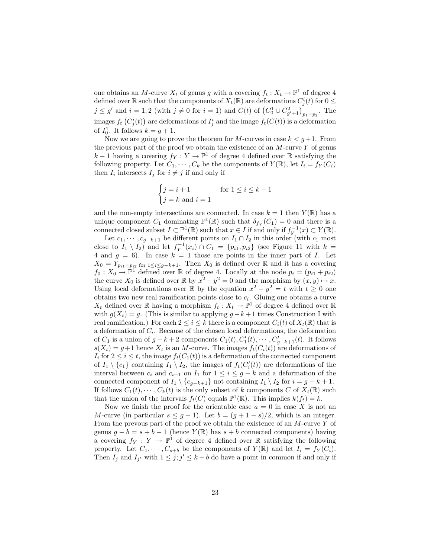one obtains an M-curve  $X_t$  of genus g with a covering  $f_t: X_t \to \mathbb{P}^1$  of degree 4 defined over  $\mathbb R$  such that the components of  $X_t(\mathbb R)$  are deformations  $C^i_j(t)$  for  $0 \leq$  $j \leq g'$  and  $i = 1, 2$  (with  $j \neq 0$  for  $i = 1$ ) and  $C(t)$  of  $(C_0^1 \cup C_{g'+1}^2)_{p_1=p_2}$ . The images  $f_t\left(C^i_j(t)\right)$  are deformations of  $I^i_j$  and the image  $f_t(C(t))$  is a deformation of  $I_0^1$ . It follows  $k = g + 1$ .

Now we are going to prove the theorem for M-curves in case  $k < q+1$ . From the previous part of the proof we obtain the existence of an  $M$ -curve Y of genus  $k-1$  having a covering  $f_Y: Y \to \mathbb{P}^1$  of degree 4 defined over R satisfying the following property. Let  $C_1, \cdots, C_k$  be the components of  $Y(\mathbb{R})$ , let  $I_i = f_Y(C_i)$ then  $I_i$  intersects  $I_j$  for  $i \neq j$  if and only if

$$
\begin{cases} j = i + 1 & \text{for } 1 \le i \le k - 1 \\ j = k \text{ and } i = 1 \end{cases}
$$

and the non-empty intersections are connected. In case  $k = 1$  then  $Y(\mathbb{R})$  has a unique component  $C_1$  dominating  $\mathbb{P}^1(\mathbb{R})$  such that  $\delta_{f_Y}(C_1) = 0$  and there is a connected closed subset  $I \subset \mathbb{P}^1(\mathbb{R})$  such that  $x \in I$  if and only if  $f_y^{-1}(x) \subset Y(\mathbb{R})$ .

Let  $c_1, \dots, c_{g-k+1}$  be different points on  $I_1 \cap I_2$  in this order (with  $c_1$  most close to  $I_1 \setminus I_2$  and let  $f_Y^{-1}(x_i) \cap C_1 = \{p_{i1}, p_{i2}\}$  (see Figure 11 with  $k =$ 4 and  $g = 6$ ). In case  $k = 1$  those are points in the inner part of I. Let  $X_0 = Y_{p_{i1}=p_{i2}}$  for  $1 \leq i \leq g-k+1$ . Then  $X_0$  is defined over R and it has a covering  $f_0: X_0 \to \mathbb{P}^1$  defined over R of degree 4. Locally at the node  $p_i = (p_{i1} + p_{i2})$ the curve  $X_0$  is defined over  $\mathbb R$  by  $x^2 - y^2 = 0$  and the morphism by  $(x, y) \mapsto x$ . Using local deformations over  $\mathbb R$  by the equation  $x^2 - y^2 = t$  with  $t \geq 0$  one obtains two new real ramification points close to  $c_i$ . Gluing one obtains a curve  $X_t$  defined over  $\mathbb R$  having a morphism  $f_t: X_t \to \mathbb P^1$  of degree 4 defined over  $\mathbb R$ with  $g(X_t) = g$ . (This is similar to applying  $g - k + 1$  times Construction I with real ramification.) For each  $2 \leq i \leq k$  there is a component  $C_i(t)$  of  $X_t(\mathbb{R})$  that is a deformation of  $C_i$ . Because of the chosen local deformations, the deformation of  $C_1$  is a union of  $g - k + 2$  components  $C_1(t), C'_1(t), \cdots, C'_{g-k+1}(t)$ . It follows  $s(X_t) = g + 1$  hence  $X_t$  is an M-curve. The images  $f_t(C_i(t))$  are deformations of  $I_i$  for  $2 \leq i \leq t$ , the image  $f_t(C_1(t))$  is a deformation of the connected component of  $I_1 \setminus \{c_1\}$  containing  $I_1 \setminus I_2$ , the images of  $f_t(C_i'(t))$  are deformations of the interval between  $c_i$  and  $c_{i+1}$  on  $I_1$  for  $1 \leq i \leq g-k$  and a deformation of the connected component of  $I_1 \setminus \{c_{q-k+1}\}\$  not containing  $I_1 \setminus I_2$  for  $i = g - k + 1$ . If follows  $C_1(t), \cdots, C_k(t)$  is the only subset of k components C of  $X_t(\mathbb{R})$  such that the union of the intervals  $f_t(C)$  equals  $\mathbb{P}^1(\mathbb{R})$ . This implies  $k(f_t) = k$ .

Now we finish the proof for the orientable case  $a = 0$  in case X is not an M-curve (in particular  $s \leq g - 1$ ). Let  $b = (g + 1 - s)/2$ , which is an integer. From the prevous part of the proof we obtain the existence of an  $M$ -curve Y of genus  $g - b = s + b - 1$  (hence  $Y(\mathbb{R})$  has  $s + b$  connected components) having a covering  $f_Y : Y \to \mathbb{P}^1$  of degree 4 defined over R satisfying the following property. Let  $C_1, \dots, C_{s+b}$  be the components of  $Y(\mathbb{R})$  and let  $I_i = f_Y(C_i)$ . Then  $I_j$  and  $I_{j'}$  with  $1 \leq j; j' \leq k + b$  do have a point in common if and only if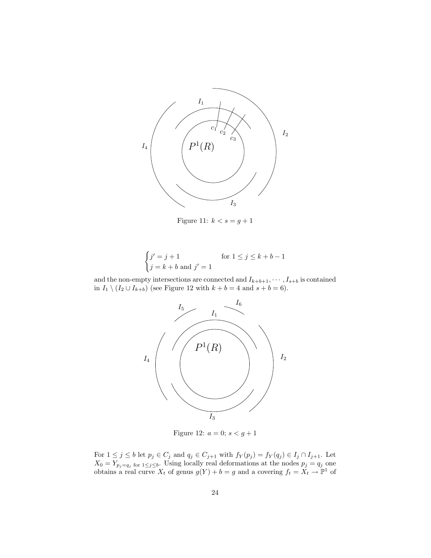

Figure 11:  $k < s = g + 1$ 

$$
\begin{cases} j' = j + 1 & \text{for } 1 \le j \le k + b - 1 \\ j = k + b \text{ and } j' = 1 \end{cases}
$$

and the non-empty intersections are connected and  $I_{k+b+1}, \cdots, I_{s+b}$  is contained in  $I_1 \setminus (I_2 \cup I_{k+b})$  (see Figure 12 with  $k + b = 4$  and  $s + b = 6$ ).



Figure 12:  $a = 0; s < g + 1$ 

For  $1 \leq j \leq b$  let  $p_j \in C_j$  and  $q_j \in C_{j+1}$  with  $f_Y(p_j) = f_Y(q_j) \in I_j \cap I_{j+1}$ . Let  $X_0 = Y_{p_j = q_j \text{ for } 1 \leq j \leq b}$ . Using locally real deformations at the nodes  $p_j = q_j$  one obtains a real curve  $X_t$  of genus  $g(Y) + b = g$  and a covering  $f_t = X_t \to \mathbb{P}^1$  of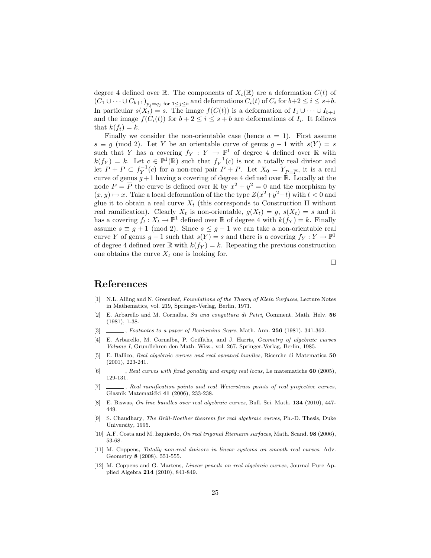degree 4 defined over R. The components of  $X_t(\mathbb{R})$  are a deformation  $C(t)$  of  $(C_1 \cup \cdots \cup C_{b+1})_{p_j=q_j \text{ for } 1 \leq j \leq b}$  and deformations  $C_i(t)$  of  $C_i$  for  $b+2 \leq i \leq s+b$ . In particular  $s(X_t) = s$ . The image  $f(C(t))$  is a deformation of  $I_1 \cup \cdots \cup I_{b+1}$ and the image  $f(C_i(t))$  for  $b+2 \leq i \leq s+b$  are deformations of  $I_i$ . It follows that  $k(f_t) = k$ .

Finally we consider the non-orientable case (hence  $a = 1$ ). First assume  $s \equiv g \pmod{2}$ . Let Y be an orientable curve of genus  $g - 1$  with  $s(Y) = s$ such that Y has a covering  $f_Y : Y \to \mathbb{P}^1$  of degree 4 defined over  $\mathbb R$  with  $k(f_Y) = k$ . Let  $c \in \mathbb{P}^1(\mathbb{R})$  such that  $f_Y^{-1}(c)$  is not a totally real divisor and let  $P + \overline{P} \subset f_Y^{-1}(c)$  for a non-real pair  $P + \overline{P}$ . Let  $X_0 = Y_{P = \overline{P}}$ , it is a real curve of genus  $g+1$  having a covering of degree 4 defined over  $\mathbb{R}$ . Locally at the node  $P = \overline{P}$  the curve is defined over  $\mathbb R$  by  $x^2 + y^2 = 0$  and the morphism by  $(x, y) \mapsto x$ . Take a local deformation of the the type  $Z(x^2+y^2-t)$  with  $t < 0$  and glue it to obtain a real curve  $X_t$  (this corresponds to Construction II without real ramification). Clearly  $X_t$  is non-orientable,  $g(X_t) = g$ ,  $s(X_t) = s$  and it has a covering  $f_t: X_t \to \mathbb{P}^1$  defined over  $\mathbb R$  of degree 4 with  $k(f_Y) = k$ . Finally assume  $s \equiv g + 1 \pmod{2}$ . Since  $s \leq g - 1$  we can take a non-orientable real curve Y of genus  $g - 1$  such that  $s(Y) = s$  and there is a covering  $f_Y : Y \to \mathbb{P}^1$ of degree 4 defined over  $\mathbb R$  with  $k(f_Y) = k$ . Repeating the previous construction one obtains the curve  $X_t$  one is looking for.

#### $\Box$

## References

- [1] N.L. Alling and N. Greenleaf, Foundations of the Theory of Klein Surfaces, Lecture Notes in Mathematics, vol. 219, Springer-Verlag, Berlin, 1971.
- [2] E. Arbarello and M. Cornalba, Su una congettura di Petri, Comment. Math. Helv. 56 (1981), 1-38.
- [3] , Footnotes to a paper of Beniamino Segre, Math. Ann. 256 (1981), 341-362.
- [4] E. Arbarello, M. Cornalba, P. Griffiths, and J. Harris, Geometry of algebraic curves Volume I, Grundlehren den Math. Wiss., vol. 267, Springer-Verlag, Berlin, 1985.
- [5] E. Ballico, Real algebraic curves and real spanned bundles, Ricerche di Matematica 50 (2001), 223-241.
- [6] , Real curves with fixed gonality and empty real locus, Le matematiche **60** (2005), 129-131.
- [7] \_\_\_\_, Real ramification points and real Weierstrass points of real projective curves, Glasnik Matematički 41 (2006), 233-238.
- [8] E. Biswas, On line bundles over real algebraic curves, Bull. Sci. Math. 134 (2010), 447-449.
- [9] S. Chaudhary, The Brill-Noether theorem for real algebraic curves, Ph.-D. Thesis, Duke University, 1995.
- [10] A.F. Costa and M. Izquierdo, On real trigonal Riemann surfaces, Math. Scand. 98 (2006), 53-68.
- [11] M. Coppens, Totally non-real divisors in linear systems on smooth real curves, Adv. Geometry 8 (2008), 551-555.
- [12] M. Coppens and G. Martens, *Linear pencils on real algebraic curves*, Journal Pure Applied Algebra 214 (2010), 841-849.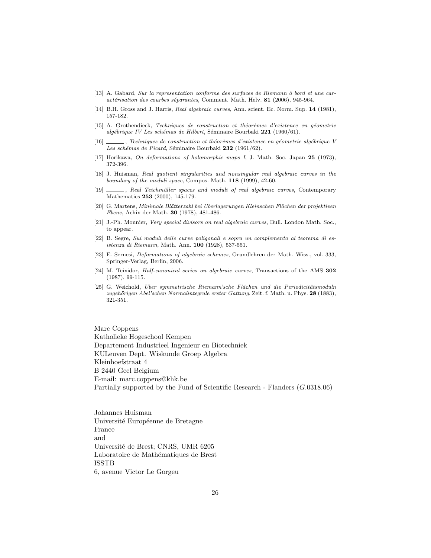- $[13]$  A. Gabard, Sur la representation conforme des surfaces de Riemann à bord et une caractérisation des courbes séparantes, Comment. Math. Helv. 81 (2006), 945-964.
- [14] B.H. Gross and J. Harris, Real algebraic curves, Ann. scient. Ec. Norm. Sup. 14 (1981), 157-182.
- [15] A. Grothendieck, Techniques de construction et théorèmes d'existence en géometrie algébrique IV Les schémas de Hilbert, Séminaire Bourbaki 221 (1960/61).
- [16] , Techniques de construction et théorèmes d'existence en géometrie algébrique V Les schémas de Picard, Séminaire Bourbaki 232 (1961/62).
- [17] Horikawa, On deformations of holomorphic maps I, J. Math. Soc. Japan 25 (1973), 372-396.
- [18] J. Huisman, Real quotient singularities and nonsingular real algebraic curves in the boundary of the moduli space, Compos. Math. 118 (1999), 42-60.
- [19] , Real Teichmüller spaces and moduli of real algebraic curves, Contemporary Mathematics 253 (2000), 145-179.
- [20] G. Martens, Minimale Blätterzahl bei Uberlagerungen Kleinschen Flächen der projektiven Ebene, Achiv der Math. 30 (1978), 481-486.
- [21] J.-Ph. Monnier, Very special divisors on real algebraic curves, Bull. London Math. Soc., to appear.
- [22] B. Segre, Sui moduli delle curve poligonali e sopra un complemento al teorema di esistenza di Riemann, Math. Ann. 100 (1928), 537-551.
- [23] E. Sernesi, Deformations of algebraic schemes, Grundlehren der Math. Wiss., vol. 333, Springer-Verlag, Berlin, 2006.
- [24] M. Teixidor, Half-canonical series on algebraic curves, Transactions of the AMS 302 (1987), 99-115.
- [25] G. Weichold, Uber symmetrische Riemann'sche Flächen und die Periodicitätsmoduln zugehörigen Abel'schen Normalintegrale erster Gattung, Zeit. f. Math. u. Phys. 28 (1883), 321-351.

Marc Coppens Katholieke Hogeschool Kempen Departement Industrieel Ingenieur en Biotechniek KULeuven Dept. Wiskunde Groep Algebra Kleinhoefstraat 4 B 2440 Geel Belgium E-mail: marc.coppens@khk.be Partially supported by the Fund of Scientific Research - Flanders (G.0318.06)

Johannes Huisman Université Européenne de Bretagne France and Université de Brest; CNRS, UMR 6205 Laboratoire de Mathématiques de Brest ISSTB 6, avenue Victor Le Gorgeu